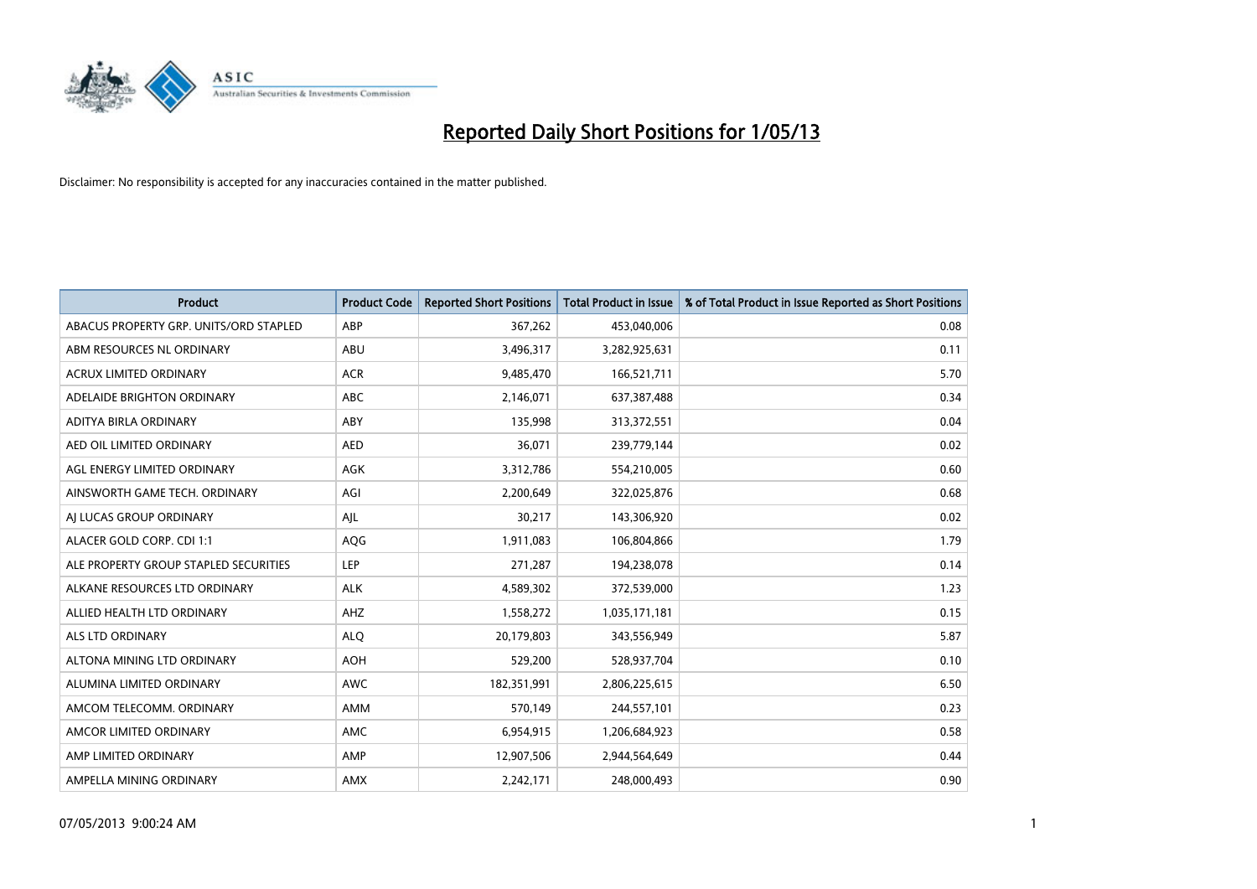

| <b>Product</b>                         | <b>Product Code</b> | <b>Reported Short Positions</b> | <b>Total Product in Issue</b> | % of Total Product in Issue Reported as Short Positions |
|----------------------------------------|---------------------|---------------------------------|-------------------------------|---------------------------------------------------------|
| ABACUS PROPERTY GRP. UNITS/ORD STAPLED | ABP                 | 367,262                         | 453,040,006                   | 0.08                                                    |
| ABM RESOURCES NL ORDINARY              | ABU                 | 3,496,317                       | 3,282,925,631                 | 0.11                                                    |
| <b>ACRUX LIMITED ORDINARY</b>          | <b>ACR</b>          | 9,485,470                       | 166,521,711                   | 5.70                                                    |
| ADELAIDE BRIGHTON ORDINARY             | <b>ABC</b>          | 2,146,071                       | 637,387,488                   | 0.34                                                    |
| ADITYA BIRLA ORDINARY                  | ABY                 | 135,998                         | 313,372,551                   | 0.04                                                    |
| AED OIL LIMITED ORDINARY               | <b>AED</b>          | 36,071                          | 239,779,144                   | 0.02                                                    |
| AGL ENERGY LIMITED ORDINARY            | AGK                 | 3,312,786                       | 554,210,005                   | 0.60                                                    |
| AINSWORTH GAME TECH. ORDINARY          | AGI                 | 2,200,649                       | 322,025,876                   | 0.68                                                    |
| AI LUCAS GROUP ORDINARY                | AJL                 | 30,217                          | 143,306,920                   | 0.02                                                    |
| ALACER GOLD CORP. CDI 1:1              | <b>AQG</b>          | 1,911,083                       | 106,804,866                   | 1.79                                                    |
| ALE PROPERTY GROUP STAPLED SECURITIES  | <b>LEP</b>          | 271,287                         | 194,238,078                   | 0.14                                                    |
| ALKANE RESOURCES LTD ORDINARY          | <b>ALK</b>          | 4,589,302                       | 372,539,000                   | 1.23                                                    |
| ALLIED HEALTH LTD ORDINARY             | AHZ                 | 1,558,272                       | 1,035,171,181                 | 0.15                                                    |
| ALS LTD ORDINARY                       | <b>ALO</b>          | 20,179,803                      | 343,556,949                   | 5.87                                                    |
| ALTONA MINING LTD ORDINARY             | <b>AOH</b>          | 529,200                         | 528,937,704                   | 0.10                                                    |
| ALUMINA LIMITED ORDINARY               | AWC                 | 182,351,991                     | 2,806,225,615                 | 6.50                                                    |
| AMCOM TELECOMM. ORDINARY               | AMM                 | 570,149                         | 244,557,101                   | 0.23                                                    |
| AMCOR LIMITED ORDINARY                 | <b>AMC</b>          | 6,954,915                       | 1,206,684,923                 | 0.58                                                    |
| AMP LIMITED ORDINARY                   | AMP                 | 12,907,506                      | 2,944,564,649                 | 0.44                                                    |
| AMPELLA MINING ORDINARY                | AMX                 | 2,242,171                       | 248,000,493                   | 0.90                                                    |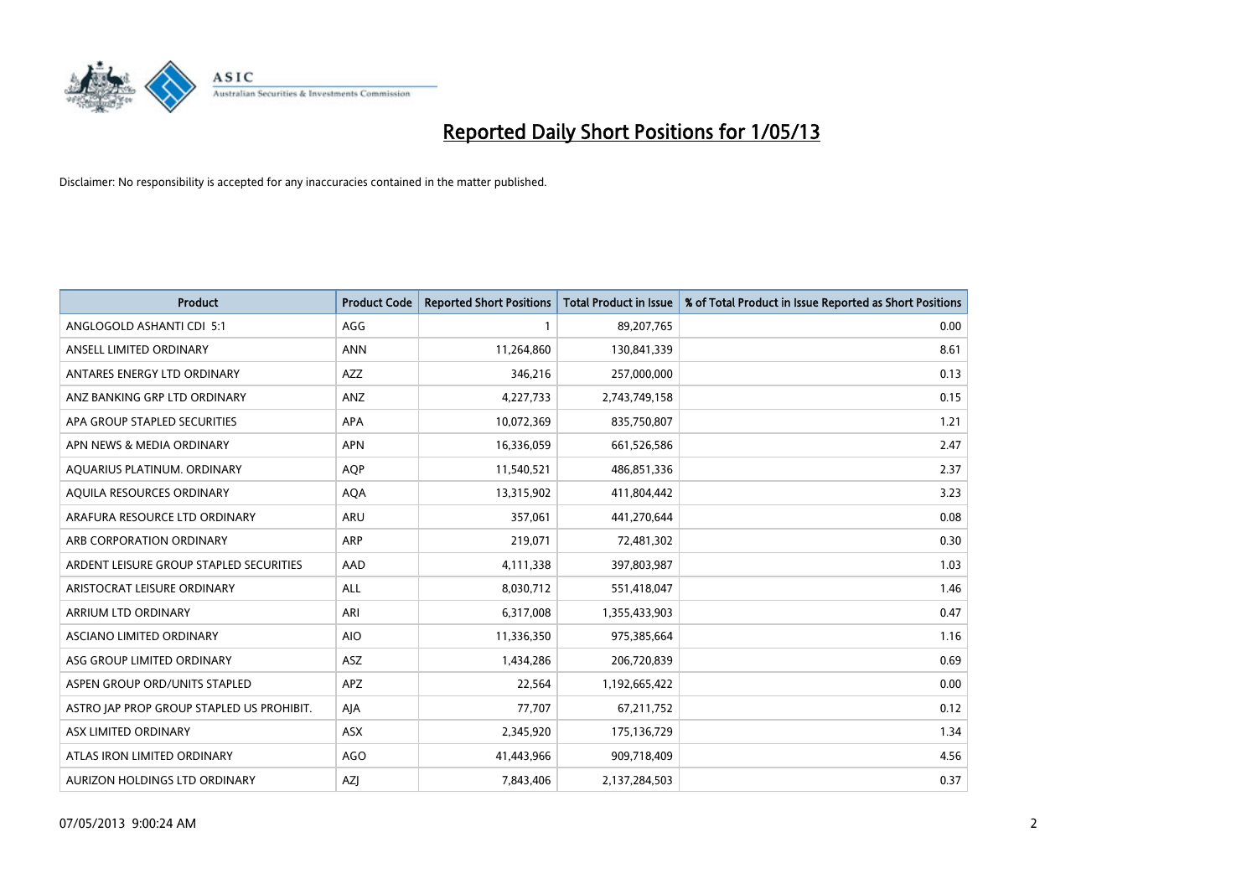

| <b>Product</b>                            | <b>Product Code</b> | <b>Reported Short Positions</b> | <b>Total Product in Issue</b> | % of Total Product in Issue Reported as Short Positions |
|-------------------------------------------|---------------------|---------------------------------|-------------------------------|---------------------------------------------------------|
| ANGLOGOLD ASHANTI CDI 5:1                 | AGG                 |                                 | 89,207,765                    | 0.00                                                    |
| ANSELL LIMITED ORDINARY                   | <b>ANN</b>          | 11,264,860                      | 130,841,339                   | 8.61                                                    |
| ANTARES ENERGY LTD ORDINARY               | <b>AZZ</b>          | 346,216                         | 257,000,000                   | 0.13                                                    |
| ANZ BANKING GRP LTD ORDINARY              | ANZ                 | 4,227,733                       | 2,743,749,158                 | 0.15                                                    |
| APA GROUP STAPLED SECURITIES              | APA                 | 10,072,369                      | 835,750,807                   | 1.21                                                    |
| APN NEWS & MEDIA ORDINARY                 | <b>APN</b>          | 16,336,059                      | 661,526,586                   | 2.47                                                    |
| AQUARIUS PLATINUM. ORDINARY               | <b>AOP</b>          | 11,540,521                      | 486,851,336                   | 2.37                                                    |
| AQUILA RESOURCES ORDINARY                 | <b>AQA</b>          | 13,315,902                      | 411,804,442                   | 3.23                                                    |
| ARAFURA RESOURCE LTD ORDINARY             | <b>ARU</b>          | 357,061                         | 441,270,644                   | 0.08                                                    |
| ARB CORPORATION ORDINARY                  | <b>ARP</b>          | 219,071                         | 72,481,302                    | 0.30                                                    |
| ARDENT LEISURE GROUP STAPLED SECURITIES   | AAD                 | 4,111,338                       | 397,803,987                   | 1.03                                                    |
| ARISTOCRAT LEISURE ORDINARY               | ALL                 | 8,030,712                       | 551,418,047                   | 1.46                                                    |
| ARRIUM LTD ORDINARY                       | ARI                 | 6,317,008                       | 1,355,433,903                 | 0.47                                                    |
| <b>ASCIANO LIMITED ORDINARY</b>           | <b>AIO</b>          | 11,336,350                      | 975,385,664                   | 1.16                                                    |
| ASG GROUP LIMITED ORDINARY                | <b>ASZ</b>          | 1,434,286                       | 206,720,839                   | 0.69                                                    |
| ASPEN GROUP ORD/UNITS STAPLED             | APZ                 | 22,564                          | 1,192,665,422                 | 0.00                                                    |
| ASTRO JAP PROP GROUP STAPLED US PROHIBIT. | AJA                 | 77,707                          | 67,211,752                    | 0.12                                                    |
| ASX LIMITED ORDINARY                      | ASX                 | 2,345,920                       | 175,136,729                   | 1.34                                                    |
| ATLAS IRON LIMITED ORDINARY               | <b>AGO</b>          | 41,443,966                      | 909,718,409                   | 4.56                                                    |
| AURIZON HOLDINGS LTD ORDINARY             | AZJ                 | 7,843,406                       | 2,137,284,503                 | 0.37                                                    |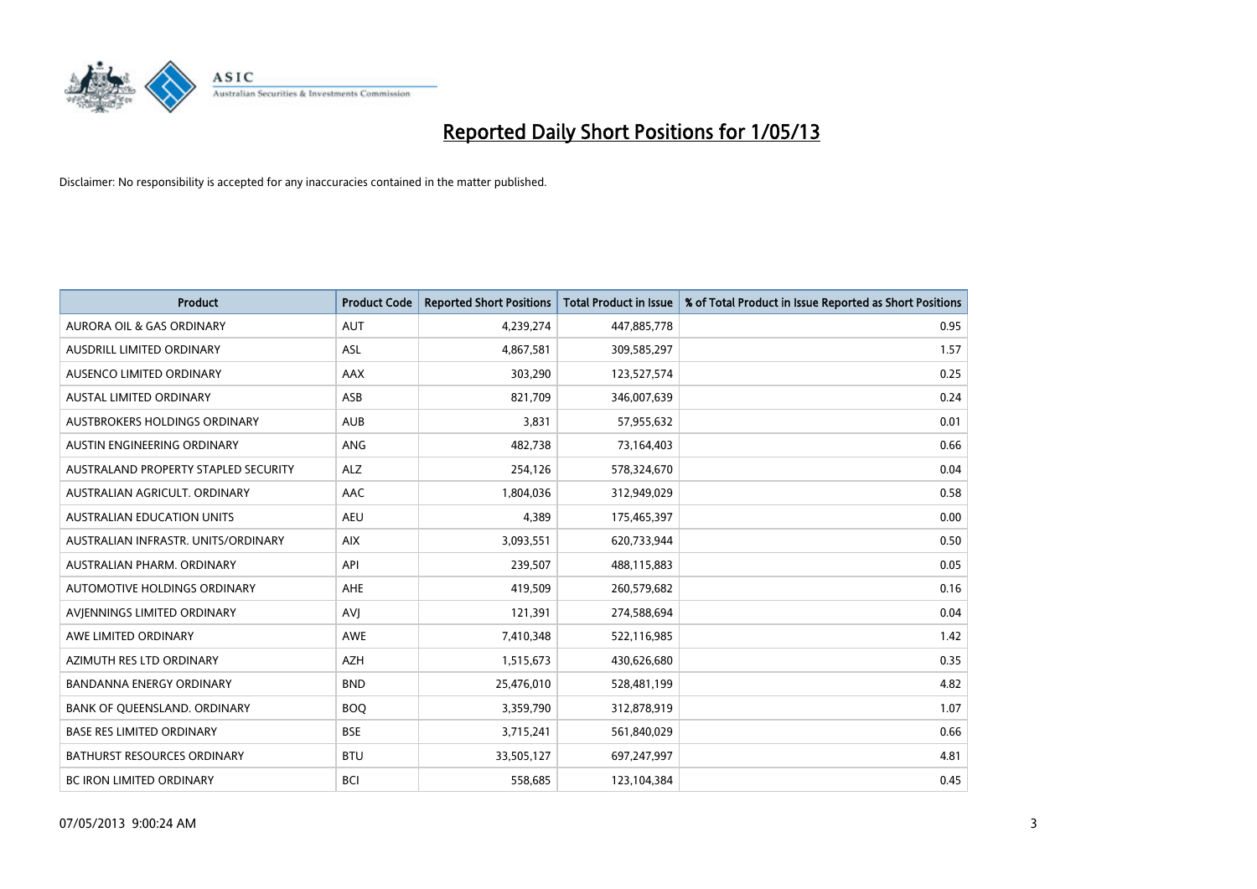

| <b>Product</b>                       | <b>Product Code</b> | <b>Reported Short Positions</b> | <b>Total Product in Issue</b> | % of Total Product in Issue Reported as Short Positions |
|--------------------------------------|---------------------|---------------------------------|-------------------------------|---------------------------------------------------------|
| <b>AURORA OIL &amp; GAS ORDINARY</b> | AUT                 | 4,239,274                       | 447,885,778                   | 0.95                                                    |
| AUSDRILL LIMITED ORDINARY            | ASL                 | 4,867,581                       | 309,585,297                   | 1.57                                                    |
| AUSENCO LIMITED ORDINARY             | AAX                 | 303,290                         | 123,527,574                   | 0.25                                                    |
| AUSTAL LIMITED ORDINARY              | ASB                 | 821,709                         | 346,007,639                   | 0.24                                                    |
| <b>AUSTBROKERS HOLDINGS ORDINARY</b> | <b>AUB</b>          | 3,831                           | 57,955,632                    | 0.01                                                    |
| AUSTIN ENGINEERING ORDINARY          | <b>ANG</b>          | 482,738                         | 73,164,403                    | 0.66                                                    |
| AUSTRALAND PROPERTY STAPLED SECURITY | ALZ                 | 254,126                         | 578,324,670                   | 0.04                                                    |
| AUSTRALIAN AGRICULT. ORDINARY        | AAC                 | 1,804,036                       | 312,949,029                   | 0.58                                                    |
| AUSTRALIAN EDUCATION UNITS           | <b>AEU</b>          | 4,389                           | 175,465,397                   | 0.00                                                    |
| AUSTRALIAN INFRASTR, UNITS/ORDINARY  | <b>AIX</b>          | 3,093,551                       | 620,733,944                   | 0.50                                                    |
| AUSTRALIAN PHARM. ORDINARY           | API                 | 239,507                         | 488,115,883                   | 0.05                                                    |
| AUTOMOTIVE HOLDINGS ORDINARY         | <b>AHE</b>          | 419,509                         | 260,579,682                   | 0.16                                                    |
| AVIENNINGS LIMITED ORDINARY          | AVI                 | 121,391                         | 274,588,694                   | 0.04                                                    |
| AWE LIMITED ORDINARY                 | AWE                 | 7,410,348                       | 522,116,985                   | 1.42                                                    |
| AZIMUTH RES LTD ORDINARY             | <b>AZH</b>          | 1,515,673                       | 430,626,680                   | 0.35                                                    |
| <b>BANDANNA ENERGY ORDINARY</b>      | <b>BND</b>          | 25,476,010                      | 528,481,199                   | 4.82                                                    |
| BANK OF QUEENSLAND. ORDINARY         | <b>BOQ</b>          | 3,359,790                       | 312,878,919                   | 1.07                                                    |
| <b>BASE RES LIMITED ORDINARY</b>     | <b>BSE</b>          | 3,715,241                       | 561,840,029                   | 0.66                                                    |
| <b>BATHURST RESOURCES ORDINARY</b>   | <b>BTU</b>          | 33,505,127                      | 697,247,997                   | 4.81                                                    |
| <b>BC IRON LIMITED ORDINARY</b>      | <b>BCI</b>          | 558,685                         | 123,104,384                   | 0.45                                                    |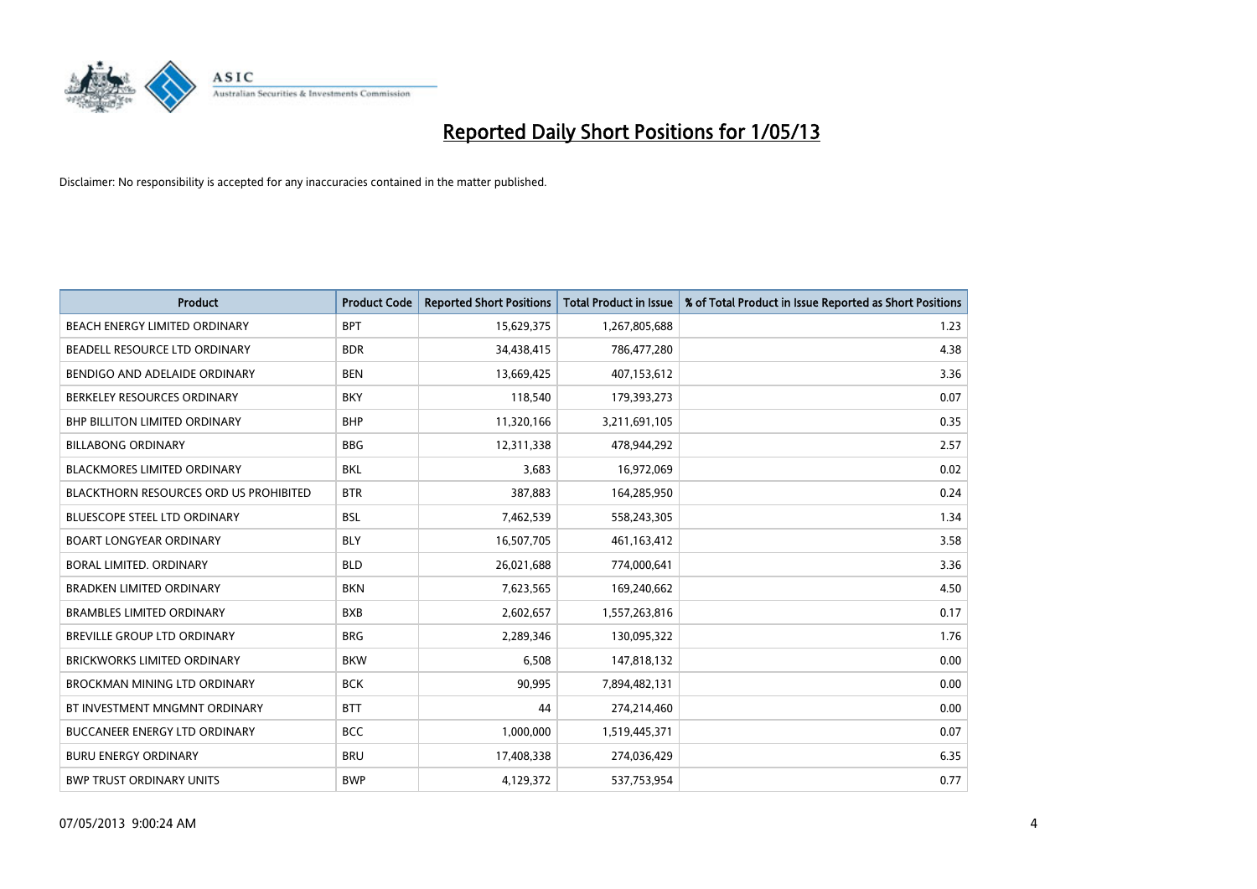

| <b>Product</b>                                | <b>Product Code</b> | <b>Reported Short Positions</b> | <b>Total Product in Issue</b> | % of Total Product in Issue Reported as Short Positions |
|-----------------------------------------------|---------------------|---------------------------------|-------------------------------|---------------------------------------------------------|
| BEACH ENERGY LIMITED ORDINARY                 | <b>BPT</b>          | 15,629,375                      | 1,267,805,688                 | 1.23                                                    |
| BEADELL RESOURCE LTD ORDINARY                 | <b>BDR</b>          | 34,438,415                      | 786,477,280                   | 4.38                                                    |
| BENDIGO AND ADELAIDE ORDINARY                 | <b>BEN</b>          | 13,669,425                      | 407,153,612                   | 3.36                                                    |
| BERKELEY RESOURCES ORDINARY                   | <b>BKY</b>          | 118,540                         | 179,393,273                   | 0.07                                                    |
| <b>BHP BILLITON LIMITED ORDINARY</b>          | <b>BHP</b>          | 11,320,166                      | 3,211,691,105                 | 0.35                                                    |
| <b>BILLABONG ORDINARY</b>                     | <b>BBG</b>          | 12,311,338                      | 478,944,292                   | 2.57                                                    |
| <b>BLACKMORES LIMITED ORDINARY</b>            | <b>BKL</b>          | 3,683                           | 16,972,069                    | 0.02                                                    |
| <b>BLACKTHORN RESOURCES ORD US PROHIBITED</b> | <b>BTR</b>          | 387,883                         | 164,285,950                   | 0.24                                                    |
| BLUESCOPE STEEL LTD ORDINARY                  | <b>BSL</b>          | 7,462,539                       | 558,243,305                   | 1.34                                                    |
| <b>BOART LONGYEAR ORDINARY</b>                | <b>BLY</b>          | 16,507,705                      | 461,163,412                   | 3.58                                                    |
| BORAL LIMITED, ORDINARY                       | <b>BLD</b>          | 26,021,688                      | 774,000,641                   | 3.36                                                    |
| <b>BRADKEN LIMITED ORDINARY</b>               | <b>BKN</b>          | 7,623,565                       | 169,240,662                   | 4.50                                                    |
| <b>BRAMBLES LIMITED ORDINARY</b>              | <b>BXB</b>          | 2,602,657                       | 1,557,263,816                 | 0.17                                                    |
| <b>BREVILLE GROUP LTD ORDINARY</b>            | <b>BRG</b>          | 2,289,346                       | 130,095,322                   | 1.76                                                    |
| <b>BRICKWORKS LIMITED ORDINARY</b>            | <b>BKW</b>          | 6,508                           | 147,818,132                   | 0.00                                                    |
| <b>BROCKMAN MINING LTD ORDINARY</b>           | <b>BCK</b>          | 90,995                          | 7,894,482,131                 | 0.00                                                    |
| BT INVESTMENT MNGMNT ORDINARY                 | <b>BTT</b>          | 44                              | 274,214,460                   | 0.00                                                    |
| BUCCANEER ENERGY LTD ORDINARY                 | <b>BCC</b>          | 1,000,000                       | 1,519,445,371                 | 0.07                                                    |
| <b>BURU ENERGY ORDINARY</b>                   | <b>BRU</b>          | 17,408,338                      | 274,036,429                   | 6.35                                                    |
| <b>BWP TRUST ORDINARY UNITS</b>               | <b>BWP</b>          | 4,129,372                       | 537,753,954                   | 0.77                                                    |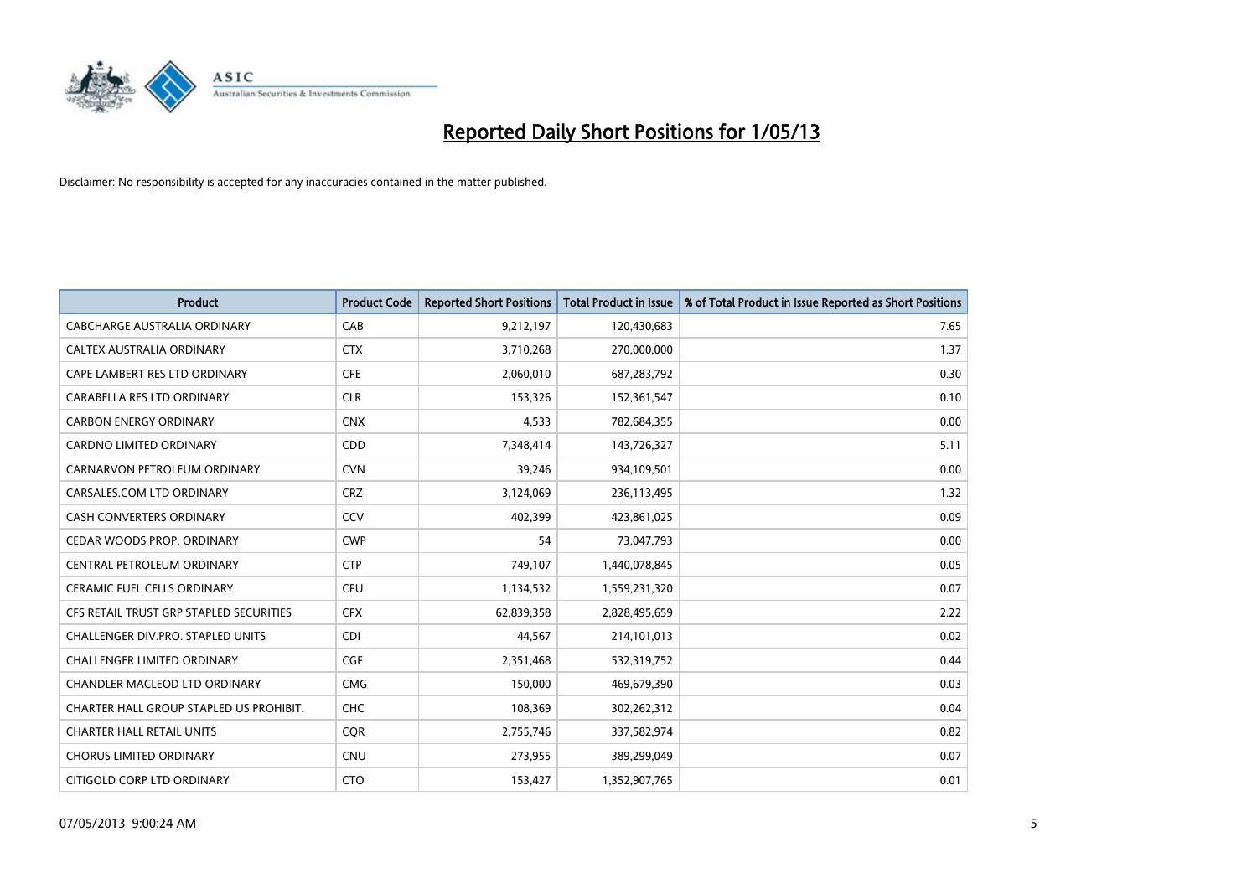

| <b>Product</b>                          | <b>Product Code</b> | <b>Reported Short Positions</b> | <b>Total Product in Issue</b> | % of Total Product in Issue Reported as Short Positions |
|-----------------------------------------|---------------------|---------------------------------|-------------------------------|---------------------------------------------------------|
| <b>CABCHARGE AUSTRALIA ORDINARY</b>     | CAB                 | 9,212,197                       | 120,430,683                   | 7.65                                                    |
| CALTEX AUSTRALIA ORDINARY               | <b>CTX</b>          | 3,710,268                       | 270,000,000                   | 1.37                                                    |
| CAPE LAMBERT RES LTD ORDINARY           | <b>CFE</b>          | 2,060,010                       | 687,283,792                   | 0.30                                                    |
| CARABELLA RES LTD ORDINARY              | <b>CLR</b>          | 153,326                         | 152,361,547                   | 0.10                                                    |
| <b>CARBON ENERGY ORDINARY</b>           | <b>CNX</b>          | 4,533                           | 782,684,355                   | 0.00                                                    |
| <b>CARDNO LIMITED ORDINARY</b>          | CDD                 | 7,348,414                       | 143,726,327                   | 5.11                                                    |
| CARNARVON PETROLEUM ORDINARY            | <b>CVN</b>          | 39,246                          | 934,109,501                   | 0.00                                                    |
| CARSALES.COM LTD ORDINARY               | <b>CRZ</b>          | 3,124,069                       | 236,113,495                   | 1.32                                                    |
| <b>CASH CONVERTERS ORDINARY</b>         | CCV                 | 402,399                         | 423,861,025                   | 0.09                                                    |
| CEDAR WOODS PROP. ORDINARY              | <b>CWP</b>          | 54                              | 73,047,793                    | 0.00                                                    |
| CENTRAL PETROLEUM ORDINARY              | <b>CTP</b>          | 749,107                         | 1,440,078,845                 | 0.05                                                    |
| <b>CERAMIC FUEL CELLS ORDINARY</b>      | <b>CFU</b>          | 1,134,532                       | 1,559,231,320                 | 0.07                                                    |
| CFS RETAIL TRUST GRP STAPLED SECURITIES | <b>CFX</b>          | 62,839,358                      | 2,828,495,659                 | 2.22                                                    |
| CHALLENGER DIV.PRO. STAPLED UNITS       | <b>CDI</b>          | 44,567                          | 214,101,013                   | 0.02                                                    |
| <b>CHALLENGER LIMITED ORDINARY</b>      | <b>CGF</b>          | 2,351,468                       | 532,319,752                   | 0.44                                                    |
| CHANDLER MACLEOD LTD ORDINARY           | <b>CMG</b>          | 150,000                         | 469,679,390                   | 0.03                                                    |
| CHARTER HALL GROUP STAPLED US PROHIBIT. | <b>CHC</b>          | 108,369                         | 302,262,312                   | 0.04                                                    |
| <b>CHARTER HALL RETAIL UNITS</b>        | <b>CQR</b>          | 2,755,746                       | 337,582,974                   | 0.82                                                    |
| <b>CHORUS LIMITED ORDINARY</b>          | <b>CNU</b>          | 273,955                         | 389,299,049                   | 0.07                                                    |
| CITIGOLD CORP LTD ORDINARY              | <b>CTO</b>          | 153,427                         | 1,352,907,765                 | 0.01                                                    |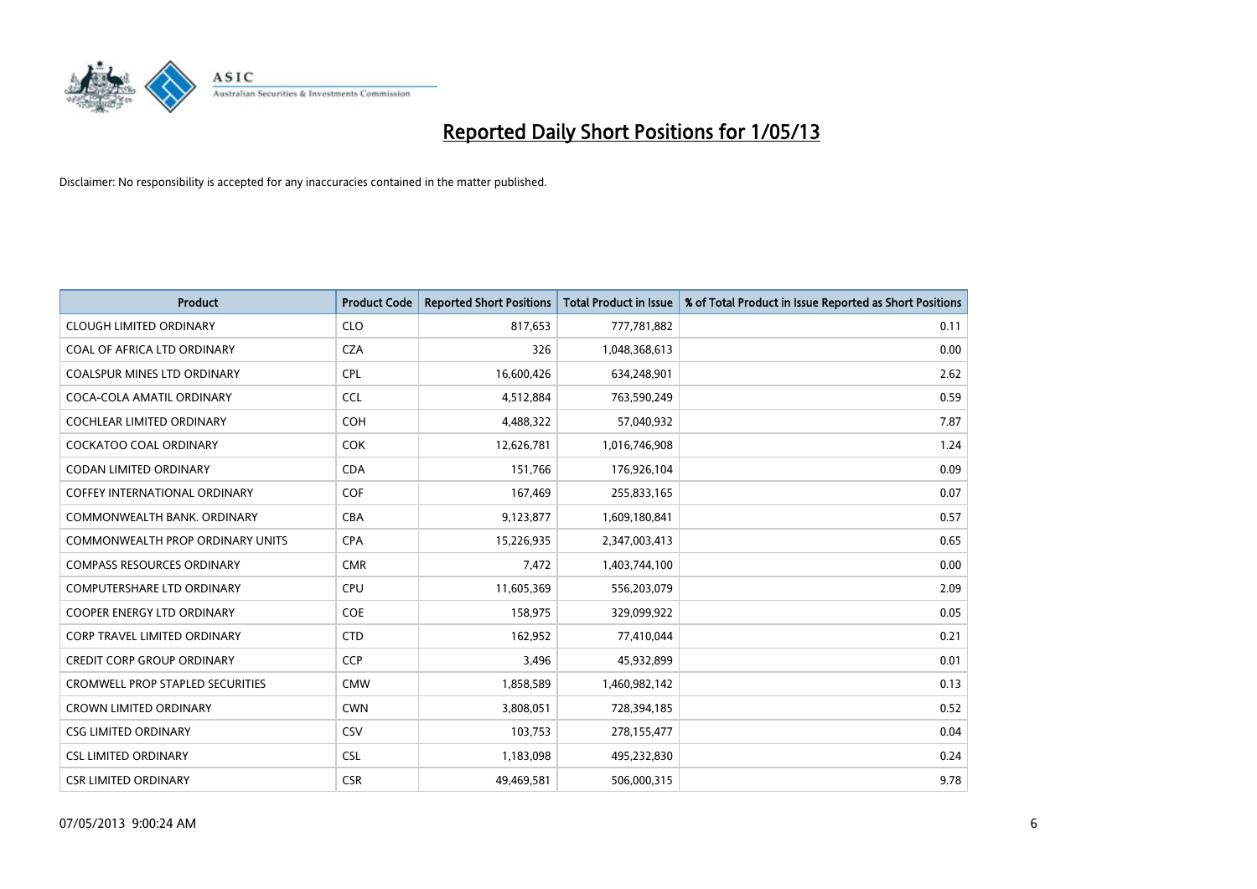

| <b>Product</b>                          | <b>Product Code</b> | <b>Reported Short Positions</b> | <b>Total Product in Issue</b> | % of Total Product in Issue Reported as Short Positions |
|-----------------------------------------|---------------------|---------------------------------|-------------------------------|---------------------------------------------------------|
| <b>CLOUGH LIMITED ORDINARY</b>          | <b>CLO</b>          | 817,653                         | 777,781,882                   | 0.11                                                    |
| COAL OF AFRICA LTD ORDINARY             | <b>CZA</b>          | 326                             | 1,048,368,613                 | 0.00                                                    |
| <b>COALSPUR MINES LTD ORDINARY</b>      | <b>CPL</b>          | 16,600,426                      | 634,248,901                   | 2.62                                                    |
| COCA-COLA AMATIL ORDINARY               | <b>CCL</b>          | 4,512,884                       | 763,590,249                   | 0.59                                                    |
| <b>COCHLEAR LIMITED ORDINARY</b>        | <b>COH</b>          | 4,488,322                       | 57,040,932                    | 7.87                                                    |
| <b>COCKATOO COAL ORDINARY</b>           | <b>COK</b>          | 12,626,781                      | 1,016,746,908                 | 1.24                                                    |
| <b>CODAN LIMITED ORDINARY</b>           | <b>CDA</b>          | 151,766                         | 176,926,104                   | 0.09                                                    |
| <b>COFFEY INTERNATIONAL ORDINARY</b>    | <b>COF</b>          | 167,469                         | 255,833,165                   | 0.07                                                    |
| COMMONWEALTH BANK, ORDINARY             | <b>CBA</b>          | 9,123,877                       | 1,609,180,841                 | 0.57                                                    |
| <b>COMMONWEALTH PROP ORDINARY UNITS</b> | <b>CPA</b>          | 15,226,935                      | 2,347,003,413                 | 0.65                                                    |
| <b>COMPASS RESOURCES ORDINARY</b>       | <b>CMR</b>          | 7,472                           | 1,403,744,100                 | 0.00                                                    |
| <b>COMPUTERSHARE LTD ORDINARY</b>       | <b>CPU</b>          | 11,605,369                      | 556,203,079                   | 2.09                                                    |
| COOPER ENERGY LTD ORDINARY              | <b>COE</b>          | 158,975                         | 329,099,922                   | 0.05                                                    |
| <b>CORP TRAVEL LIMITED ORDINARY</b>     | <b>CTD</b>          | 162,952                         | 77,410,044                    | 0.21                                                    |
| <b>CREDIT CORP GROUP ORDINARY</b>       | <b>CCP</b>          | 3,496                           | 45,932,899                    | 0.01                                                    |
| <b>CROMWELL PROP STAPLED SECURITIES</b> | <b>CMW</b>          | 1,858,589                       | 1,460,982,142                 | 0.13                                                    |
| <b>CROWN LIMITED ORDINARY</b>           | <b>CWN</b>          | 3,808,051                       | 728,394,185                   | 0.52                                                    |
| <b>CSG LIMITED ORDINARY</b>             | CSV                 | 103,753                         | 278,155,477                   | 0.04                                                    |
| <b>CSL LIMITED ORDINARY</b>             | <b>CSL</b>          | 1,183,098                       | 495,232,830                   | 0.24                                                    |
| <b>CSR LIMITED ORDINARY</b>             | <b>CSR</b>          | 49,469,581                      | 506,000,315                   | 9.78                                                    |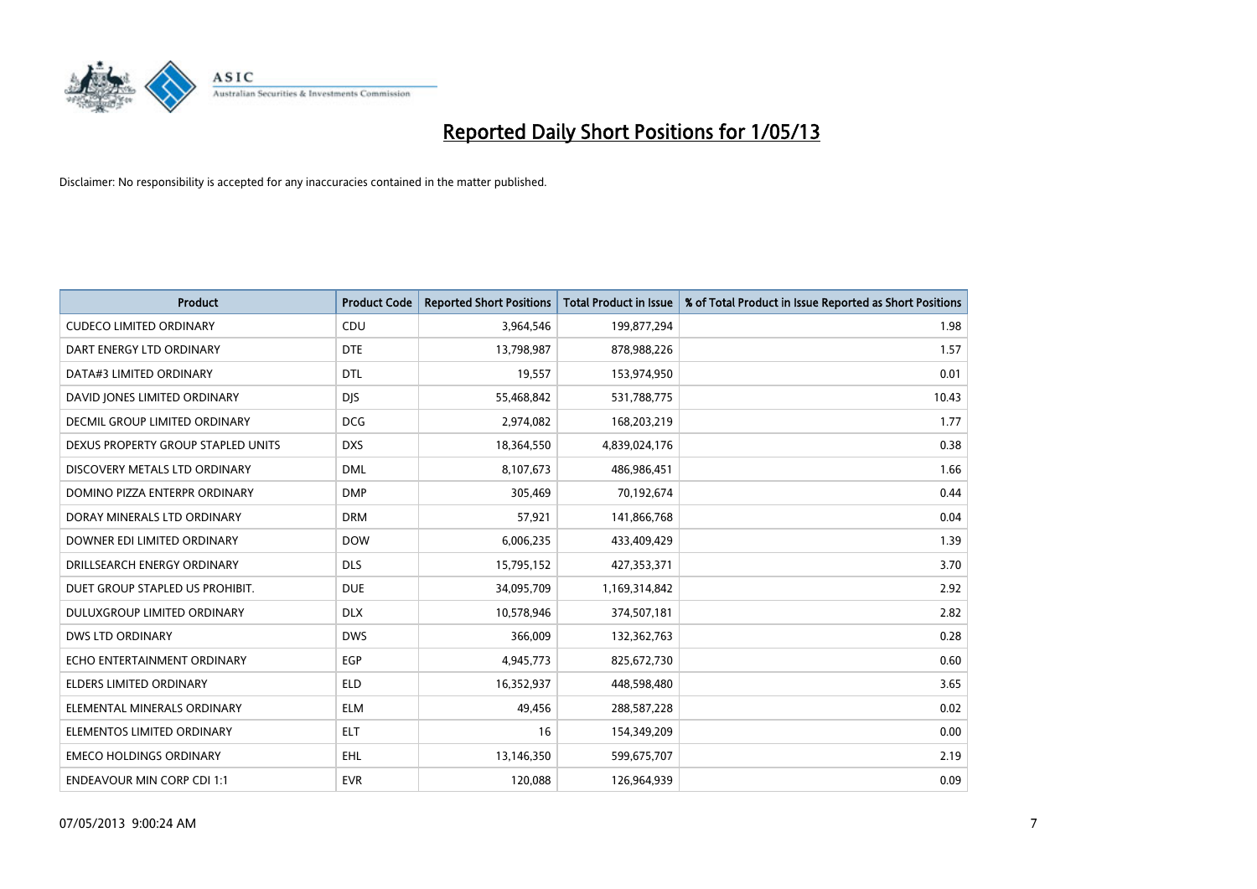

| <b>Product</b>                     | <b>Product Code</b> | <b>Reported Short Positions</b> | <b>Total Product in Issue</b> | % of Total Product in Issue Reported as Short Positions |
|------------------------------------|---------------------|---------------------------------|-------------------------------|---------------------------------------------------------|
| <b>CUDECO LIMITED ORDINARY</b>     | CDU                 | 3,964,546                       | 199,877,294                   | 1.98                                                    |
| DART ENERGY LTD ORDINARY           | <b>DTE</b>          | 13,798,987                      | 878,988,226                   | 1.57                                                    |
| DATA#3 LIMITED ORDINARY            | <b>DTL</b>          | 19,557                          | 153,974,950                   | 0.01                                                    |
| DAVID JONES LIMITED ORDINARY       | <b>DJS</b>          | 55,468,842                      | 531,788,775                   | 10.43                                                   |
| DECMIL GROUP LIMITED ORDINARY      | <b>DCG</b>          | 2,974,082                       | 168,203,219                   | 1.77                                                    |
| DEXUS PROPERTY GROUP STAPLED UNITS | <b>DXS</b>          | 18,364,550                      | 4,839,024,176                 | 0.38                                                    |
| DISCOVERY METALS LTD ORDINARY      | <b>DML</b>          | 8,107,673                       | 486,986,451                   | 1.66                                                    |
| DOMINO PIZZA ENTERPR ORDINARY      | <b>DMP</b>          | 305.469                         | 70,192,674                    | 0.44                                                    |
| DORAY MINERALS LTD ORDINARY        | <b>DRM</b>          | 57,921                          | 141,866,768                   | 0.04                                                    |
| DOWNER EDI LIMITED ORDINARY        | <b>DOW</b>          | 6,006,235                       | 433,409,429                   | 1.39                                                    |
| DRILLSEARCH ENERGY ORDINARY        | <b>DLS</b>          | 15,795,152                      | 427,353,371                   | 3.70                                                    |
| DUET GROUP STAPLED US PROHIBIT.    | <b>DUE</b>          | 34,095,709                      | 1,169,314,842                 | 2.92                                                    |
| DULUXGROUP LIMITED ORDINARY        | <b>DLX</b>          | 10,578,946                      | 374,507,181                   | 2.82                                                    |
| <b>DWS LTD ORDINARY</b>            | <b>DWS</b>          | 366,009                         | 132,362,763                   | 0.28                                                    |
| ECHO ENTERTAINMENT ORDINARY        | EGP                 | 4,945,773                       | 825,672,730                   | 0.60                                                    |
| ELDERS LIMITED ORDINARY            | <b>ELD</b>          | 16,352,937                      | 448,598,480                   | 3.65                                                    |
| ELEMENTAL MINERALS ORDINARY        | <b>ELM</b>          | 49,456                          | 288,587,228                   | 0.02                                                    |
| ELEMENTOS LIMITED ORDINARY         | <b>ELT</b>          | 16                              | 154,349,209                   | 0.00                                                    |
| <b>EMECO HOLDINGS ORDINARY</b>     | EHL                 | 13,146,350                      | 599,675,707                   | 2.19                                                    |
| <b>ENDEAVOUR MIN CORP CDI 1:1</b>  | <b>EVR</b>          | 120,088                         | 126,964,939                   | 0.09                                                    |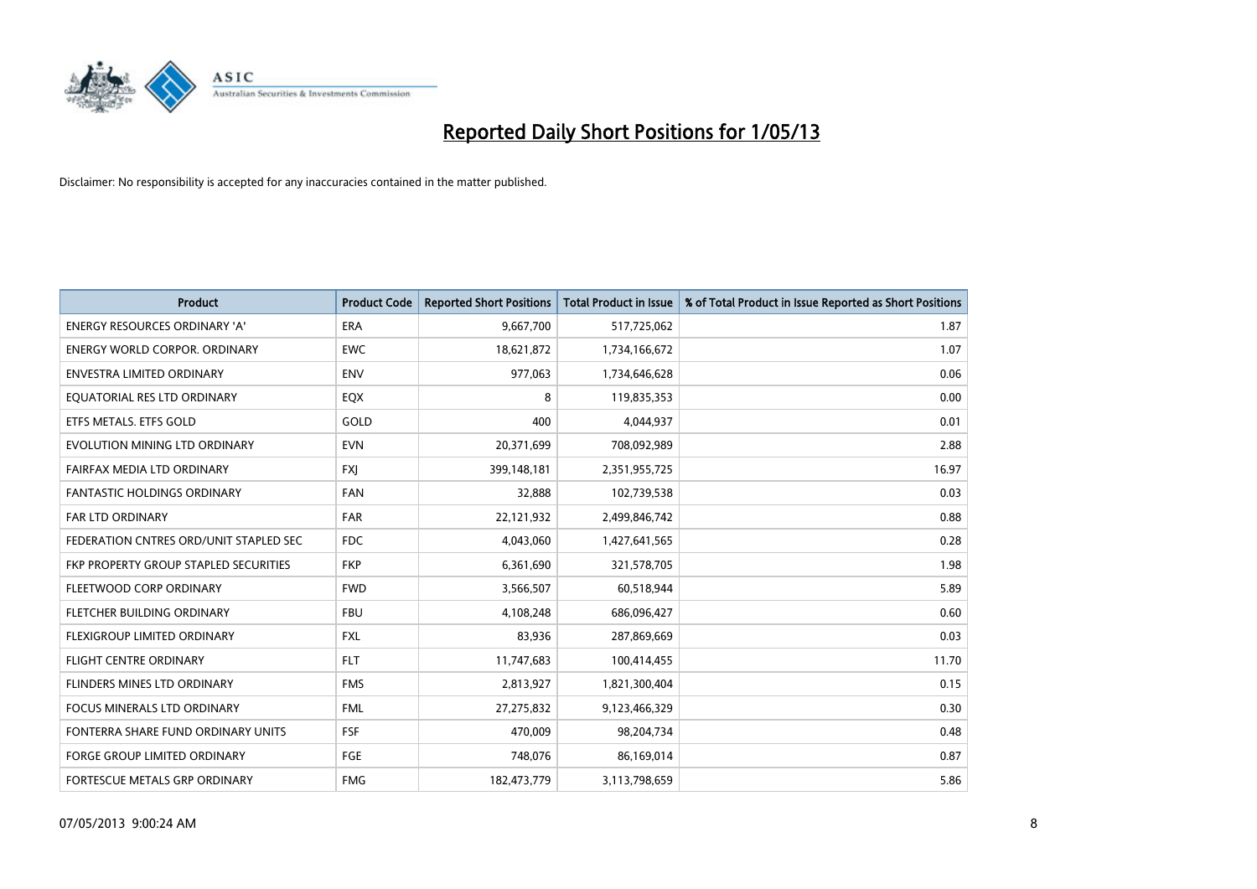

| <b>Product</b>                         | <b>Product Code</b> | <b>Reported Short Positions</b> | <b>Total Product in Issue</b> | % of Total Product in Issue Reported as Short Positions |
|----------------------------------------|---------------------|---------------------------------|-------------------------------|---------------------------------------------------------|
| <b>ENERGY RESOURCES ORDINARY 'A'</b>   | <b>ERA</b>          | 9,667,700                       | 517,725,062                   | 1.87                                                    |
| <b>ENERGY WORLD CORPOR, ORDINARY</b>   | <b>EWC</b>          | 18,621,872                      | 1,734,166,672                 | 1.07                                                    |
| <b>ENVESTRA LIMITED ORDINARY</b>       | <b>ENV</b>          | 977,063                         | 1,734,646,628                 | 0.06                                                    |
| EQUATORIAL RES LTD ORDINARY            | EQX                 | 8                               | 119,835,353                   | 0.00                                                    |
| ETFS METALS. ETFS GOLD                 | GOLD                | 400                             | 4,044,937                     | 0.01                                                    |
| EVOLUTION MINING LTD ORDINARY          | <b>EVN</b>          | 20,371,699                      | 708,092,989                   | 2.88                                                    |
| FAIRFAX MEDIA LTD ORDINARY             | <b>FXI</b>          | 399,148,181                     | 2,351,955,725                 | 16.97                                                   |
| <b>FANTASTIC HOLDINGS ORDINARY</b>     | <b>FAN</b>          | 32,888                          | 102,739,538                   | 0.03                                                    |
| <b>FAR LTD ORDINARY</b>                | <b>FAR</b>          | 22,121,932                      | 2,499,846,742                 | 0.88                                                    |
| FEDERATION CNTRES ORD/UNIT STAPLED SEC | <b>FDC</b>          | 4,043,060                       | 1,427,641,565                 | 0.28                                                    |
| FKP PROPERTY GROUP STAPLED SECURITIES  | <b>FKP</b>          | 6,361,690                       | 321,578,705                   | 1.98                                                    |
| FLEETWOOD CORP ORDINARY                | <b>FWD</b>          | 3,566,507                       | 60,518,944                    | 5.89                                                    |
| FLETCHER BUILDING ORDINARY             | <b>FBU</b>          | 4,108,248                       | 686,096,427                   | 0.60                                                    |
| FLEXIGROUP LIMITED ORDINARY            | <b>FXL</b>          | 83.936                          | 287,869,669                   | 0.03                                                    |
| FLIGHT CENTRE ORDINARY                 | <b>FLT</b>          | 11,747,683                      | 100,414,455                   | 11.70                                                   |
| FLINDERS MINES LTD ORDINARY            | <b>FMS</b>          | 2,813,927                       | 1,821,300,404                 | 0.15                                                    |
| <b>FOCUS MINERALS LTD ORDINARY</b>     | <b>FML</b>          | 27,275,832                      | 9,123,466,329                 | 0.30                                                    |
| FONTERRA SHARE FUND ORDINARY UNITS     | <b>FSF</b>          | 470,009                         | 98,204,734                    | 0.48                                                    |
| <b>FORGE GROUP LIMITED ORDINARY</b>    | FGE                 | 748,076                         | 86,169,014                    | 0.87                                                    |
| <b>FORTESCUE METALS GRP ORDINARY</b>   | <b>FMG</b>          | 182,473,779                     | 3,113,798,659                 | 5.86                                                    |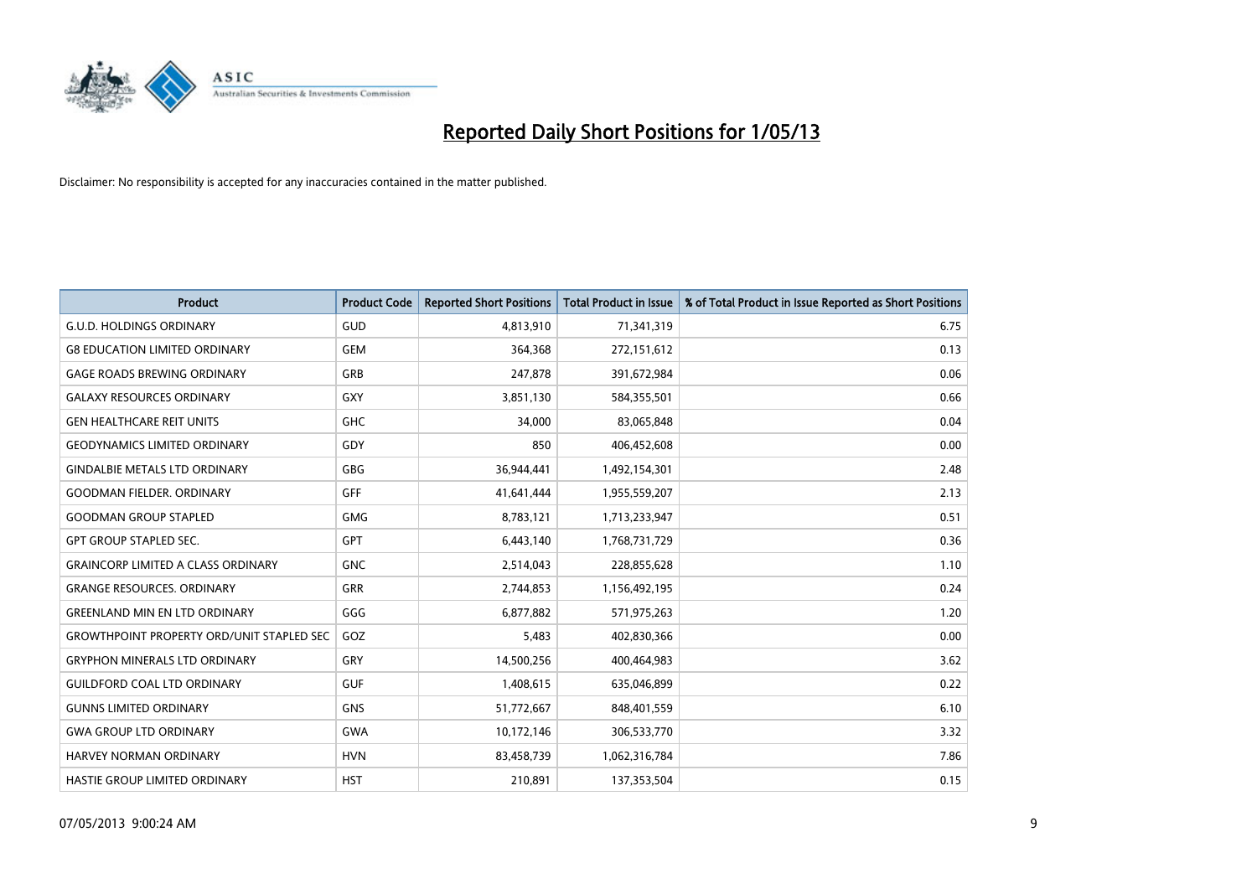

| <b>Product</b>                                   | <b>Product Code</b> | <b>Reported Short Positions</b> | <b>Total Product in Issue</b> | % of Total Product in Issue Reported as Short Positions |
|--------------------------------------------------|---------------------|---------------------------------|-------------------------------|---------------------------------------------------------|
| <b>G.U.D. HOLDINGS ORDINARY</b>                  | GUD                 | 4,813,910                       | 71,341,319                    | 6.75                                                    |
| <b>G8 EDUCATION LIMITED ORDINARY</b>             | <b>GEM</b>          | 364,368                         | 272,151,612                   | 0.13                                                    |
| <b>GAGE ROADS BREWING ORDINARY</b>               | <b>GRB</b>          | 247,878                         | 391,672,984                   | 0.06                                                    |
| <b>GALAXY RESOURCES ORDINARY</b>                 | <b>GXY</b>          | 3,851,130                       | 584,355,501                   | 0.66                                                    |
| <b>GEN HEALTHCARE REIT UNITS</b>                 | <b>GHC</b>          | 34,000                          | 83,065,848                    | 0.04                                                    |
| <b>GEODYNAMICS LIMITED ORDINARY</b>              | GDY                 | 850                             | 406,452,608                   | 0.00                                                    |
| <b>GINDALBIE METALS LTD ORDINARY</b>             | <b>GBG</b>          | 36,944,441                      | 1,492,154,301                 | 2.48                                                    |
| <b>GOODMAN FIELDER. ORDINARY</b>                 | <b>GFF</b>          | 41,641,444                      | 1,955,559,207                 | 2.13                                                    |
| <b>GOODMAN GROUP STAPLED</b>                     | <b>GMG</b>          | 8,783,121                       | 1,713,233,947                 | 0.51                                                    |
| <b>GPT GROUP STAPLED SEC.</b>                    | <b>GPT</b>          | 6,443,140                       | 1,768,731,729                 | 0.36                                                    |
| <b>GRAINCORP LIMITED A CLASS ORDINARY</b>        | <b>GNC</b>          | 2,514,043                       | 228,855,628                   | 1.10                                                    |
| <b>GRANGE RESOURCES, ORDINARY</b>                | <b>GRR</b>          | 2,744,853                       | 1,156,492,195                 | 0.24                                                    |
| <b>GREENLAND MIN EN LTD ORDINARY</b>             | GGG                 | 6,877,882                       | 571,975,263                   | 1.20                                                    |
| <b>GROWTHPOINT PROPERTY ORD/UNIT STAPLED SEC</b> | GOZ                 | 5,483                           | 402,830,366                   | 0.00                                                    |
| <b>GRYPHON MINERALS LTD ORDINARY</b>             | GRY                 | 14,500,256                      | 400,464,983                   | 3.62                                                    |
| <b>GUILDFORD COAL LTD ORDINARY</b>               | <b>GUF</b>          | 1,408,615                       | 635,046,899                   | 0.22                                                    |
| <b>GUNNS LIMITED ORDINARY</b>                    | <b>GNS</b>          | 51,772,667                      | 848,401,559                   | 6.10                                                    |
| <b>GWA GROUP LTD ORDINARY</b>                    | <b>GWA</b>          | 10,172,146                      | 306,533,770                   | 3.32                                                    |
| <b>HARVEY NORMAN ORDINARY</b>                    | <b>HVN</b>          | 83,458,739                      | 1,062,316,784                 | 7.86                                                    |
| HASTIE GROUP LIMITED ORDINARY                    | <b>HST</b>          | 210,891                         | 137,353,504                   | 0.15                                                    |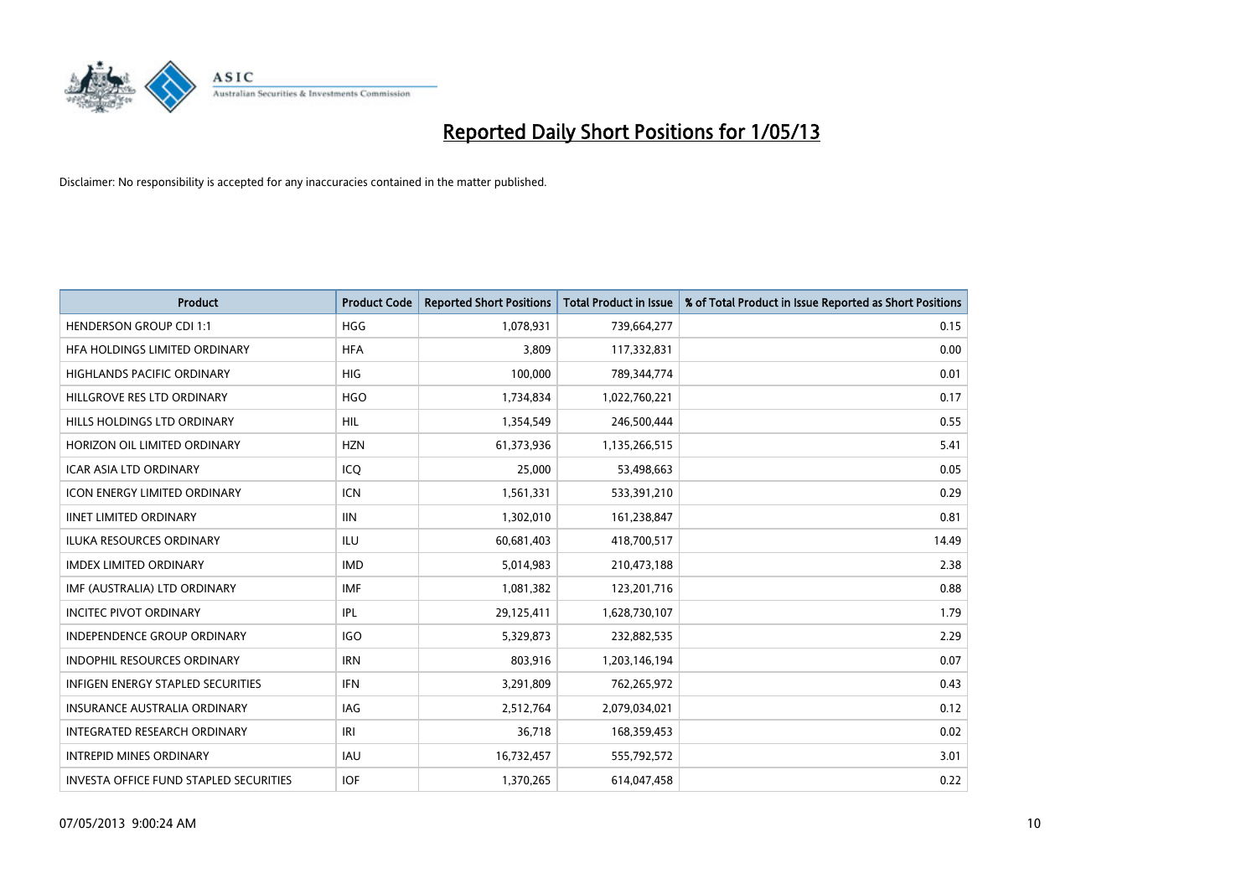

| <b>Product</b>                         | <b>Product Code</b> | <b>Reported Short Positions</b> | <b>Total Product in Issue</b> | % of Total Product in Issue Reported as Short Positions |
|----------------------------------------|---------------------|---------------------------------|-------------------------------|---------------------------------------------------------|
| <b>HENDERSON GROUP CDI 1:1</b>         | <b>HGG</b>          | 1,078,931                       | 739,664,277                   | 0.15                                                    |
| HFA HOLDINGS LIMITED ORDINARY          | <b>HFA</b>          | 3,809                           | 117,332,831                   | 0.00                                                    |
| <b>HIGHLANDS PACIFIC ORDINARY</b>      | <b>HIG</b>          | 100,000                         | 789,344,774                   | 0.01                                                    |
| HILLGROVE RES LTD ORDINARY             | <b>HGO</b>          | 1,734,834                       | 1,022,760,221                 | 0.17                                                    |
| HILLS HOLDINGS LTD ORDINARY            | HIL                 | 1,354,549                       | 246,500,444                   | 0.55                                                    |
| HORIZON OIL LIMITED ORDINARY           | <b>HZN</b>          | 61,373,936                      | 1,135,266,515                 | 5.41                                                    |
| <b>ICAR ASIA LTD ORDINARY</b>          | ICQ                 | 25,000                          | 53,498,663                    | 0.05                                                    |
| ICON ENERGY LIMITED ORDINARY           | <b>ICN</b>          | 1,561,331                       | 533,391,210                   | 0.29                                                    |
| <b>IINET LIMITED ORDINARY</b>          | <b>IIN</b>          | 1,302,010                       | 161,238,847                   | 0.81                                                    |
| <b>ILUKA RESOURCES ORDINARY</b>        | ILU                 | 60,681,403                      | 418,700,517                   | 14.49                                                   |
| <b>IMDEX LIMITED ORDINARY</b>          | <b>IMD</b>          | 5,014,983                       | 210,473,188                   | 2.38                                                    |
| IMF (AUSTRALIA) LTD ORDINARY           | <b>IMF</b>          | 1,081,382                       | 123,201,716                   | 0.88                                                    |
| <b>INCITEC PIVOT ORDINARY</b>          | IPL                 | 29,125,411                      | 1,628,730,107                 | 1.79                                                    |
| <b>INDEPENDENCE GROUP ORDINARY</b>     | <b>IGO</b>          | 5,329,873                       | 232,882,535                   | 2.29                                                    |
| <b>INDOPHIL RESOURCES ORDINARY</b>     | <b>IRN</b>          | 803,916                         | 1,203,146,194                 | 0.07                                                    |
| INFIGEN ENERGY STAPLED SECURITIES      | <b>IFN</b>          | 3,291,809                       | 762,265,972                   | 0.43                                                    |
| INSURANCE AUSTRALIA ORDINARY           | IAG                 | 2,512,764                       | 2,079,034,021                 | 0.12                                                    |
| INTEGRATED RESEARCH ORDINARY           | IRI                 | 36,718                          | 168,359,453                   | 0.02                                                    |
| <b>INTREPID MINES ORDINARY</b>         | <b>IAU</b>          | 16,732,457                      | 555,792,572                   | 3.01                                                    |
| INVESTA OFFICE FUND STAPLED SECURITIES | <b>IOF</b>          | 1,370,265                       | 614,047,458                   | 0.22                                                    |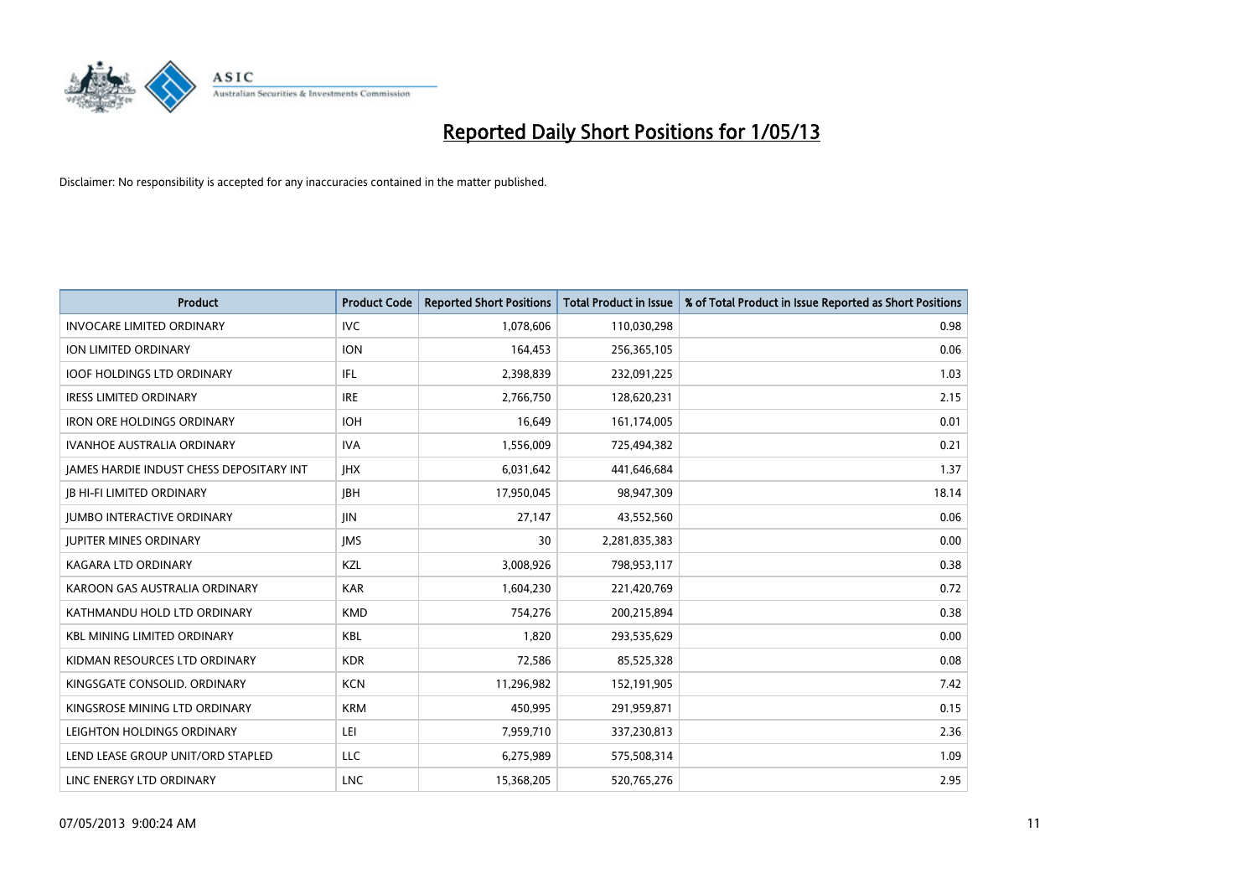

| <b>Product</b>                           | <b>Product Code</b> | <b>Reported Short Positions</b> | <b>Total Product in Issue</b> | % of Total Product in Issue Reported as Short Positions |
|------------------------------------------|---------------------|---------------------------------|-------------------------------|---------------------------------------------------------|
| <b>INVOCARE LIMITED ORDINARY</b>         | <b>IVC</b>          | 1,078,606                       | 110,030,298                   | 0.98                                                    |
| ION LIMITED ORDINARY                     | <b>ION</b>          | 164,453                         | 256,365,105                   | 0.06                                                    |
| <b>IOOF HOLDINGS LTD ORDINARY</b>        | IFL                 | 2,398,839                       | 232,091,225                   | 1.03                                                    |
| <b>IRESS LIMITED ORDINARY</b>            | <b>IRE</b>          | 2,766,750                       | 128,620,231                   | 2.15                                                    |
| <b>IRON ORE HOLDINGS ORDINARY</b>        | <b>IOH</b>          | 16,649                          | 161,174,005                   | 0.01                                                    |
| <b>IVANHOE AUSTRALIA ORDINARY</b>        | <b>IVA</b>          | 1,556,009                       | 725,494,382                   | 0.21                                                    |
| JAMES HARDIE INDUST CHESS DEPOSITARY INT | <b>IHX</b>          | 6,031,642                       | 441,646,684                   | 1.37                                                    |
| <b>JB HI-FI LIMITED ORDINARY</b>         | <b>JBH</b>          | 17,950,045                      | 98,947,309                    | 18.14                                                   |
| <b>JUMBO INTERACTIVE ORDINARY</b>        | JIN                 | 27,147                          | 43,552,560                    | 0.06                                                    |
| <b>JUPITER MINES ORDINARY</b>            | <b>IMS</b>          | 30                              | 2,281,835,383                 | 0.00                                                    |
| KAGARA LTD ORDINARY                      | KZL                 | 3,008,926                       | 798,953,117                   | 0.38                                                    |
| KAROON GAS AUSTRALIA ORDINARY            | <b>KAR</b>          | 1,604,230                       | 221,420,769                   | 0.72                                                    |
| KATHMANDU HOLD LTD ORDINARY              | <b>KMD</b>          | 754,276                         | 200,215,894                   | 0.38                                                    |
| <b>KBL MINING LIMITED ORDINARY</b>       | KBL                 | 1,820                           | 293,535,629                   | 0.00                                                    |
| KIDMAN RESOURCES LTD ORDINARY            | <b>KDR</b>          | 72,586                          | 85,525,328                    | 0.08                                                    |
| KINGSGATE CONSOLID. ORDINARY             | <b>KCN</b>          | 11,296,982                      | 152,191,905                   | 7.42                                                    |
| KINGSROSE MINING LTD ORDINARY            | <b>KRM</b>          | 450,995                         | 291,959,871                   | 0.15                                                    |
| LEIGHTON HOLDINGS ORDINARY               | LEI                 | 7,959,710                       | 337,230,813                   | 2.36                                                    |
| LEND LEASE GROUP UNIT/ORD STAPLED        | LLC                 | 6,275,989                       | 575,508,314                   | 1.09                                                    |
| LINC ENERGY LTD ORDINARY                 | <b>LNC</b>          | 15,368,205                      | 520,765,276                   | 2.95                                                    |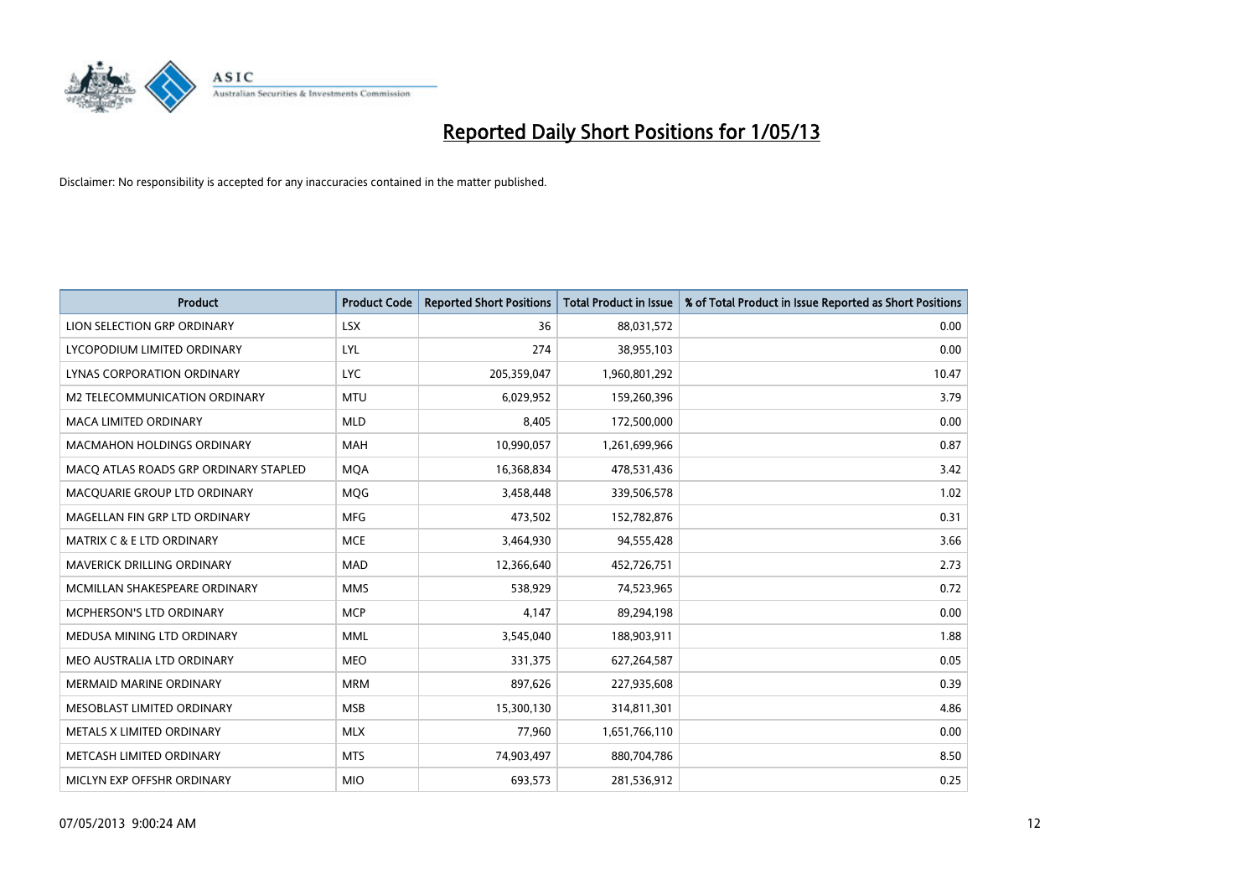

| <b>Product</b>                        | <b>Product Code</b> | <b>Reported Short Positions</b> | <b>Total Product in Issue</b> | % of Total Product in Issue Reported as Short Positions |
|---------------------------------------|---------------------|---------------------------------|-------------------------------|---------------------------------------------------------|
| LION SELECTION GRP ORDINARY           | <b>LSX</b>          | 36                              | 88,031,572                    | 0.00                                                    |
| LYCOPODIUM LIMITED ORDINARY           | <b>LYL</b>          | 274                             | 38,955,103                    | 0.00                                                    |
| LYNAS CORPORATION ORDINARY            | <b>LYC</b>          | 205,359,047                     | 1,960,801,292                 | 10.47                                                   |
| M2 TELECOMMUNICATION ORDINARY         | <b>MTU</b>          | 6,029,952                       | 159,260,396                   | 3.79                                                    |
| <b>MACA LIMITED ORDINARY</b>          | <b>MLD</b>          | 8,405                           | 172,500,000                   | 0.00                                                    |
| MACMAHON HOLDINGS ORDINARY            | MAH                 | 10,990,057                      | 1,261,699,966                 | 0.87                                                    |
| MACO ATLAS ROADS GRP ORDINARY STAPLED | <b>MQA</b>          | 16,368,834                      | 478,531,436                   | 3.42                                                    |
| MACQUARIE GROUP LTD ORDINARY          | MQG                 | 3,458,448                       | 339,506,578                   | 1.02                                                    |
| MAGELLAN FIN GRP LTD ORDINARY         | <b>MFG</b>          | 473,502                         | 152,782,876                   | 0.31                                                    |
| <b>MATRIX C &amp; E LTD ORDINARY</b>  | <b>MCE</b>          | 3,464,930                       | 94,555,428                    | 3.66                                                    |
| MAVERICK DRILLING ORDINARY            | <b>MAD</b>          | 12,366,640                      | 452,726,751                   | 2.73                                                    |
| MCMILLAN SHAKESPEARE ORDINARY         | <b>MMS</b>          | 538,929                         | 74,523,965                    | 0.72                                                    |
| MCPHERSON'S LTD ORDINARY              | <b>MCP</b>          | 4,147                           | 89,294,198                    | 0.00                                                    |
| MEDUSA MINING LTD ORDINARY            | <b>MML</b>          | 3,545,040                       | 188,903,911                   | 1.88                                                    |
| MEO AUSTRALIA LTD ORDINARY            | <b>MEO</b>          | 331,375                         | 627,264,587                   | 0.05                                                    |
| <b>MERMAID MARINE ORDINARY</b>        | <b>MRM</b>          | 897,626                         | 227,935,608                   | 0.39                                                    |
| MESOBLAST LIMITED ORDINARY            | <b>MSB</b>          | 15,300,130                      | 314,811,301                   | 4.86                                                    |
| METALS X LIMITED ORDINARY             | <b>MLX</b>          | 77,960                          | 1,651,766,110                 | 0.00                                                    |
| METCASH LIMITED ORDINARY              | <b>MTS</b>          | 74,903,497                      | 880,704,786                   | 8.50                                                    |
| MICLYN EXP OFFSHR ORDINARY            | <b>MIO</b>          | 693,573                         | 281,536,912                   | 0.25                                                    |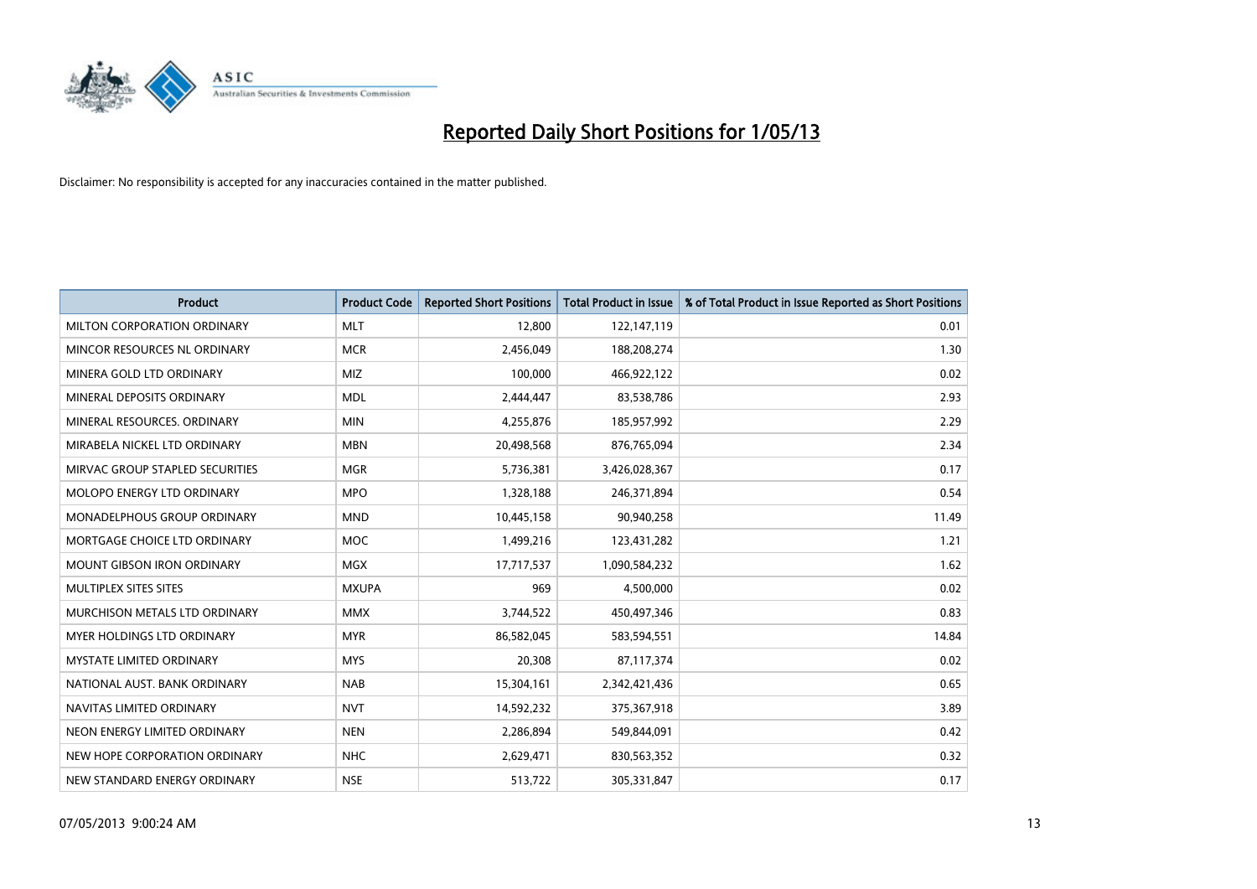

| <b>Product</b>                  | <b>Product Code</b> | <b>Reported Short Positions</b> | <b>Total Product in Issue</b> | % of Total Product in Issue Reported as Short Positions |
|---------------------------------|---------------------|---------------------------------|-------------------------------|---------------------------------------------------------|
| MILTON CORPORATION ORDINARY     | <b>MLT</b>          | 12,800                          | 122,147,119                   | 0.01                                                    |
| MINCOR RESOURCES NL ORDINARY    | <b>MCR</b>          | 2,456,049                       | 188,208,274                   | 1.30                                                    |
| MINERA GOLD LTD ORDINARY        | <b>MIZ</b>          | 100,000                         | 466,922,122                   | 0.02                                                    |
| MINERAL DEPOSITS ORDINARY       | <b>MDL</b>          | 2,444,447                       | 83,538,786                    | 2.93                                                    |
| MINERAL RESOURCES, ORDINARY     | <b>MIN</b>          | 4,255,876                       | 185,957,992                   | 2.29                                                    |
| MIRABELA NICKEL LTD ORDINARY    | <b>MBN</b>          | 20,498,568                      | 876,765,094                   | 2.34                                                    |
| MIRVAC GROUP STAPLED SECURITIES | <b>MGR</b>          | 5,736,381                       | 3,426,028,367                 | 0.17                                                    |
| MOLOPO ENERGY LTD ORDINARY      | <b>MPO</b>          | 1,328,188                       | 246,371,894                   | 0.54                                                    |
| MONADELPHOUS GROUP ORDINARY     | <b>MND</b>          | 10,445,158                      | 90,940,258                    | 11.49                                                   |
| MORTGAGE CHOICE LTD ORDINARY    | <b>MOC</b>          | 1,499,216                       | 123,431,282                   | 1.21                                                    |
| MOUNT GIBSON IRON ORDINARY      | <b>MGX</b>          | 17,717,537                      | 1,090,584,232                 | 1.62                                                    |
| <b>MULTIPLEX SITES SITES</b>    | <b>MXUPA</b>        | 969                             | 4,500,000                     | 0.02                                                    |
| MURCHISON METALS LTD ORDINARY   | <b>MMX</b>          | 3,744,522                       | 450,497,346                   | 0.83                                                    |
| MYER HOLDINGS LTD ORDINARY      | <b>MYR</b>          | 86,582,045                      | 583,594,551                   | 14.84                                                   |
| <b>MYSTATE LIMITED ORDINARY</b> | <b>MYS</b>          | 20,308                          | 87,117,374                    | 0.02                                                    |
| NATIONAL AUST. BANK ORDINARY    | <b>NAB</b>          | 15,304,161                      | 2,342,421,436                 | 0.65                                                    |
| NAVITAS LIMITED ORDINARY        | <b>NVT</b>          | 14,592,232                      | 375,367,918                   | 3.89                                                    |
| NEON ENERGY LIMITED ORDINARY    | <b>NEN</b>          | 2,286,894                       | 549,844,091                   | 0.42                                                    |
| NEW HOPE CORPORATION ORDINARY   | <b>NHC</b>          | 2,629,471                       | 830,563,352                   | 0.32                                                    |
| NEW STANDARD ENERGY ORDINARY    | <b>NSE</b>          | 513,722                         | 305,331,847                   | 0.17                                                    |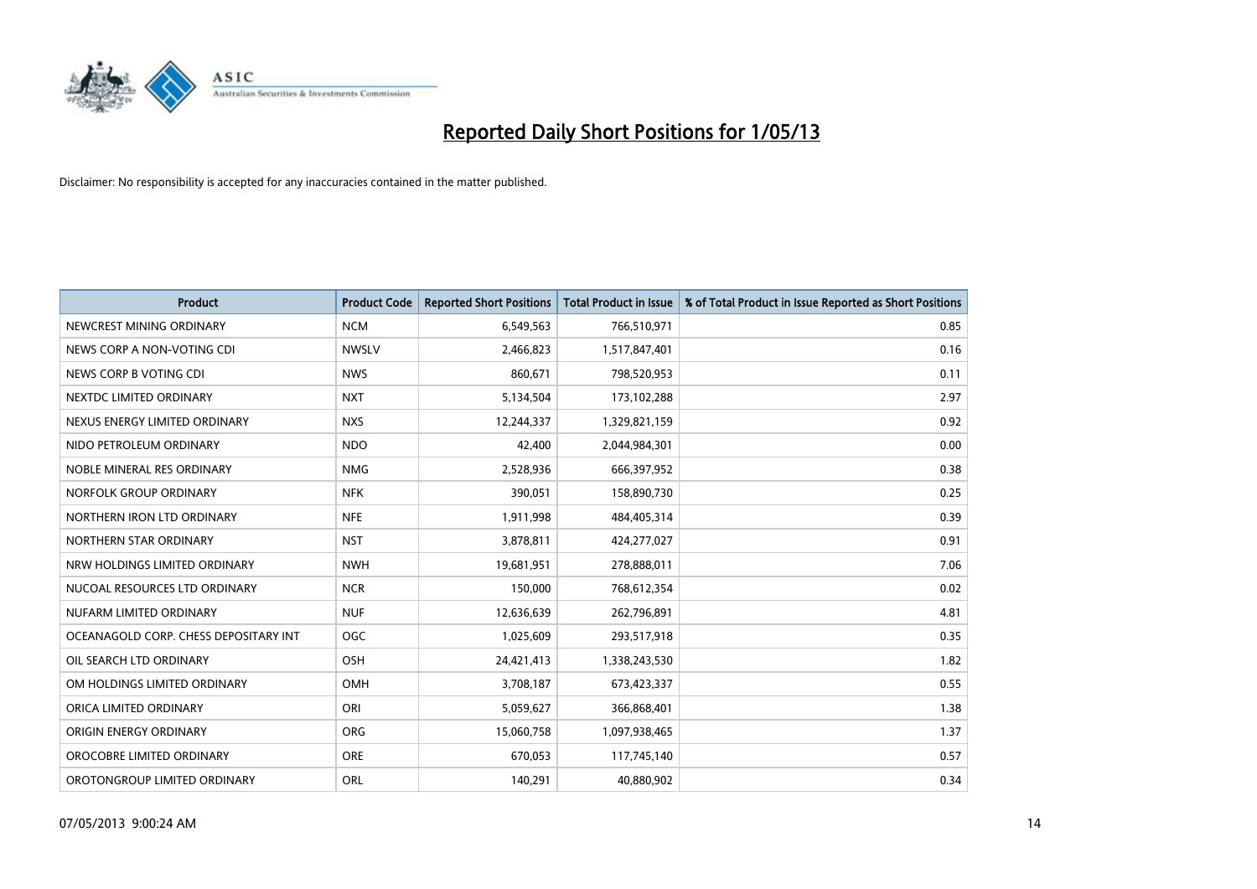

| <b>Product</b>                        | <b>Product Code</b> | <b>Reported Short Positions</b> | <b>Total Product in Issue</b> | % of Total Product in Issue Reported as Short Positions |
|---------------------------------------|---------------------|---------------------------------|-------------------------------|---------------------------------------------------------|
| NEWCREST MINING ORDINARY              | <b>NCM</b>          | 6,549,563                       | 766,510,971                   | 0.85                                                    |
| NEWS CORP A NON-VOTING CDI            | <b>NWSLV</b>        | 2,466,823                       | 1,517,847,401                 | 0.16                                                    |
| NEWS CORP B VOTING CDI                | <b>NWS</b>          | 860,671                         | 798,520,953                   | 0.11                                                    |
| NEXTDC LIMITED ORDINARY               | <b>NXT</b>          | 5,134,504                       | 173,102,288                   | 2.97                                                    |
| NEXUS ENERGY LIMITED ORDINARY         | <b>NXS</b>          | 12,244,337                      | 1,329,821,159                 | 0.92                                                    |
| NIDO PETROLEUM ORDINARY               | <b>NDO</b>          | 42,400                          | 2,044,984,301                 | 0.00                                                    |
| NOBLE MINERAL RES ORDINARY            | <b>NMG</b>          | 2,528,936                       | 666,397,952                   | 0.38                                                    |
| NORFOLK GROUP ORDINARY                | <b>NFK</b>          | 390,051                         | 158,890,730                   | 0.25                                                    |
| NORTHERN IRON LTD ORDINARY            | <b>NFE</b>          | 1,911,998                       | 484,405,314                   | 0.39                                                    |
| NORTHERN STAR ORDINARY                | <b>NST</b>          | 3,878,811                       | 424,277,027                   | 0.91                                                    |
| NRW HOLDINGS LIMITED ORDINARY         | <b>NWH</b>          | 19,681,951                      | 278,888,011                   | 7.06                                                    |
| NUCOAL RESOURCES LTD ORDINARY         | <b>NCR</b>          | 150,000                         | 768,612,354                   | 0.02                                                    |
| NUFARM LIMITED ORDINARY               | <b>NUF</b>          | 12,636,639                      | 262,796,891                   | 4.81                                                    |
| OCEANAGOLD CORP. CHESS DEPOSITARY INT | <b>OGC</b>          | 1,025,609                       | 293,517,918                   | 0.35                                                    |
| OIL SEARCH LTD ORDINARY               | OSH                 | 24,421,413                      | 1,338,243,530                 | 1.82                                                    |
| OM HOLDINGS LIMITED ORDINARY          | OMH                 | 3,708,187                       | 673,423,337                   | 0.55                                                    |
| ORICA LIMITED ORDINARY                | ORI                 | 5,059,627                       | 366,868,401                   | 1.38                                                    |
| ORIGIN ENERGY ORDINARY                | <b>ORG</b>          | 15,060,758                      | 1,097,938,465                 | 1.37                                                    |
| OROCOBRE LIMITED ORDINARY             | <b>ORE</b>          | 670,053                         | 117,745,140                   | 0.57                                                    |
| OROTONGROUP LIMITED ORDINARY          | ORL                 | 140,291                         | 40,880,902                    | 0.34                                                    |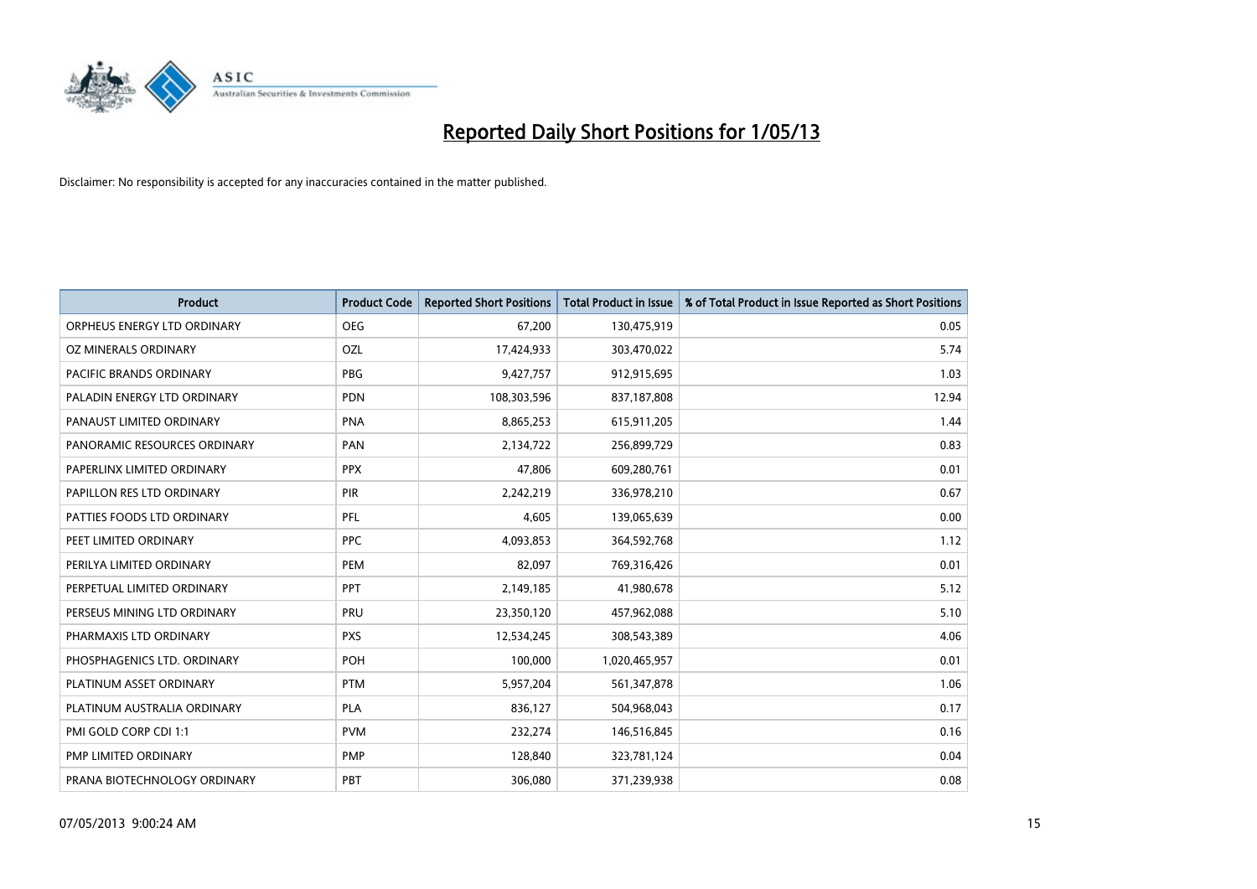

| <b>Product</b>               | <b>Product Code</b> | <b>Reported Short Positions</b> | <b>Total Product in Issue</b> | % of Total Product in Issue Reported as Short Positions |
|------------------------------|---------------------|---------------------------------|-------------------------------|---------------------------------------------------------|
| ORPHEUS ENERGY LTD ORDINARY  | <b>OEG</b>          | 67,200                          | 130,475,919                   | 0.05                                                    |
| OZ MINERALS ORDINARY         | OZL                 | 17,424,933                      | 303,470,022                   | 5.74                                                    |
| PACIFIC BRANDS ORDINARY      | <b>PBG</b>          | 9,427,757                       | 912,915,695                   | 1.03                                                    |
| PALADIN ENERGY LTD ORDINARY  | <b>PDN</b>          | 108,303,596                     | 837,187,808                   | 12.94                                                   |
| PANAUST LIMITED ORDINARY     | <b>PNA</b>          | 8,865,253                       | 615,911,205                   | 1.44                                                    |
| PANORAMIC RESOURCES ORDINARY | PAN                 | 2,134,722                       | 256,899,729                   | 0.83                                                    |
| PAPERLINX LIMITED ORDINARY   | <b>PPX</b>          | 47,806                          | 609,280,761                   | 0.01                                                    |
| PAPILLON RES LTD ORDINARY    | <b>PIR</b>          | 2,242,219                       | 336,978,210                   | 0.67                                                    |
| PATTIES FOODS LTD ORDINARY   | PFL                 | 4,605                           | 139,065,639                   | 0.00                                                    |
| PEET LIMITED ORDINARY        | <b>PPC</b>          | 4,093,853                       | 364,592,768                   | 1.12                                                    |
| PERILYA LIMITED ORDINARY     | PEM                 | 82,097                          | 769,316,426                   | 0.01                                                    |
| PERPETUAL LIMITED ORDINARY   | PPT                 | 2,149,185                       | 41,980,678                    | 5.12                                                    |
| PERSEUS MINING LTD ORDINARY  | PRU                 | 23,350,120                      | 457,962,088                   | 5.10                                                    |
| PHARMAXIS LTD ORDINARY       | <b>PXS</b>          | 12,534,245                      | 308,543,389                   | 4.06                                                    |
| PHOSPHAGENICS LTD. ORDINARY  | POH                 | 100,000                         | 1,020,465,957                 | 0.01                                                    |
| PLATINUM ASSET ORDINARY      | <b>PTM</b>          | 5,957,204                       | 561,347,878                   | 1.06                                                    |
| PLATINUM AUSTRALIA ORDINARY  | PLA                 | 836,127                         | 504,968,043                   | 0.17                                                    |
| PMI GOLD CORP CDI 1:1        | <b>PVM</b>          | 232,274                         | 146,516,845                   | 0.16                                                    |
| <b>PMP LIMITED ORDINARY</b>  | <b>PMP</b>          | 128,840                         | 323,781,124                   | 0.04                                                    |
| PRANA BIOTECHNOLOGY ORDINARY | PBT                 | 306,080                         | 371,239,938                   | 0.08                                                    |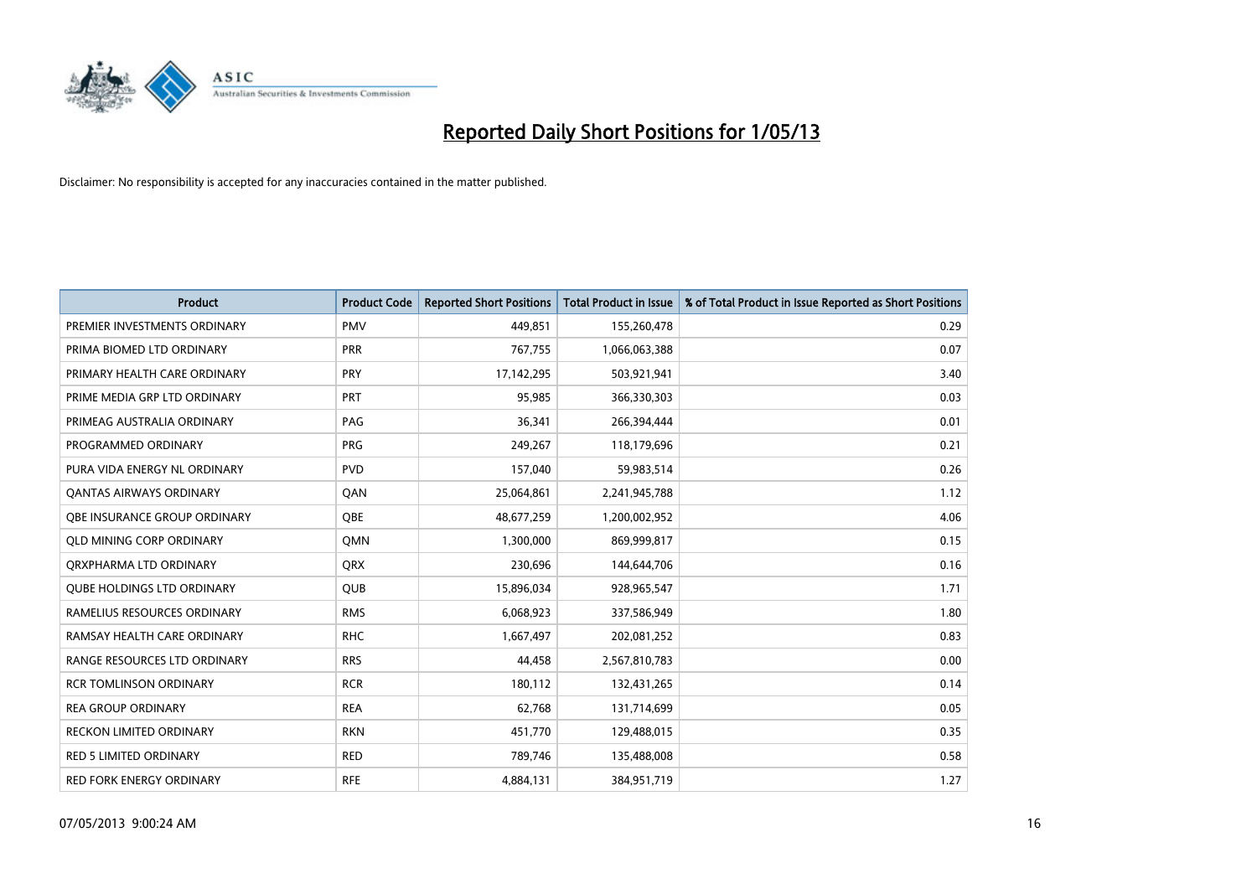

| <b>Product</b>                    | <b>Product Code</b> | <b>Reported Short Positions</b> | <b>Total Product in Issue</b> | % of Total Product in Issue Reported as Short Positions |
|-----------------------------------|---------------------|---------------------------------|-------------------------------|---------------------------------------------------------|
| PREMIER INVESTMENTS ORDINARY      | <b>PMV</b>          | 449,851                         | 155,260,478                   | 0.29                                                    |
| PRIMA BIOMED LTD ORDINARY         | <b>PRR</b>          | 767,755                         | 1,066,063,388                 | 0.07                                                    |
| PRIMARY HEALTH CARE ORDINARY      | <b>PRY</b>          | 17,142,295                      | 503,921,941                   | 3.40                                                    |
| PRIME MEDIA GRP LTD ORDINARY      | <b>PRT</b>          | 95,985                          | 366,330,303                   | 0.03                                                    |
| PRIMEAG AUSTRALIA ORDINARY        | PAG                 | 36,341                          | 266,394,444                   | 0.01                                                    |
| PROGRAMMED ORDINARY               | <b>PRG</b>          | 249,267                         | 118,179,696                   | 0.21                                                    |
| PURA VIDA ENERGY NL ORDINARY      | <b>PVD</b>          | 157,040                         | 59,983,514                    | 0.26                                                    |
| <b>QANTAS AIRWAYS ORDINARY</b>    | QAN                 | 25,064,861                      | 2,241,945,788                 | 1.12                                                    |
| OBE INSURANCE GROUP ORDINARY      | OBE                 | 48,677,259                      | 1,200,002,952                 | 4.06                                                    |
| <b>QLD MINING CORP ORDINARY</b>   | <b>OMN</b>          | 1,300,000                       | 869,999,817                   | 0.15                                                    |
| ORXPHARMA LTD ORDINARY            | <b>QRX</b>          | 230,696                         | 144,644,706                   | 0.16                                                    |
| <b>QUBE HOLDINGS LTD ORDINARY</b> | QUB                 | 15,896,034                      | 928,965,547                   | 1.71                                                    |
| RAMELIUS RESOURCES ORDINARY       | <b>RMS</b>          | 6,068,923                       | 337,586,949                   | 1.80                                                    |
| RAMSAY HEALTH CARE ORDINARY       | <b>RHC</b>          | 1,667,497                       | 202,081,252                   | 0.83                                                    |
| RANGE RESOURCES LTD ORDINARY      | <b>RRS</b>          | 44,458                          | 2,567,810,783                 | 0.00                                                    |
| <b>RCR TOMLINSON ORDINARY</b>     | <b>RCR</b>          | 180,112                         | 132,431,265                   | 0.14                                                    |
| <b>REA GROUP ORDINARY</b>         | <b>REA</b>          | 62,768                          | 131,714,699                   | 0.05                                                    |
| RECKON LIMITED ORDINARY           | <b>RKN</b>          | 451,770                         | 129,488,015                   | 0.35                                                    |
| <b>RED 5 LIMITED ORDINARY</b>     | <b>RED</b>          | 789,746                         | 135,488,008                   | 0.58                                                    |
| RED FORK ENERGY ORDINARY          | <b>RFE</b>          | 4,884,131                       | 384,951,719                   | 1.27                                                    |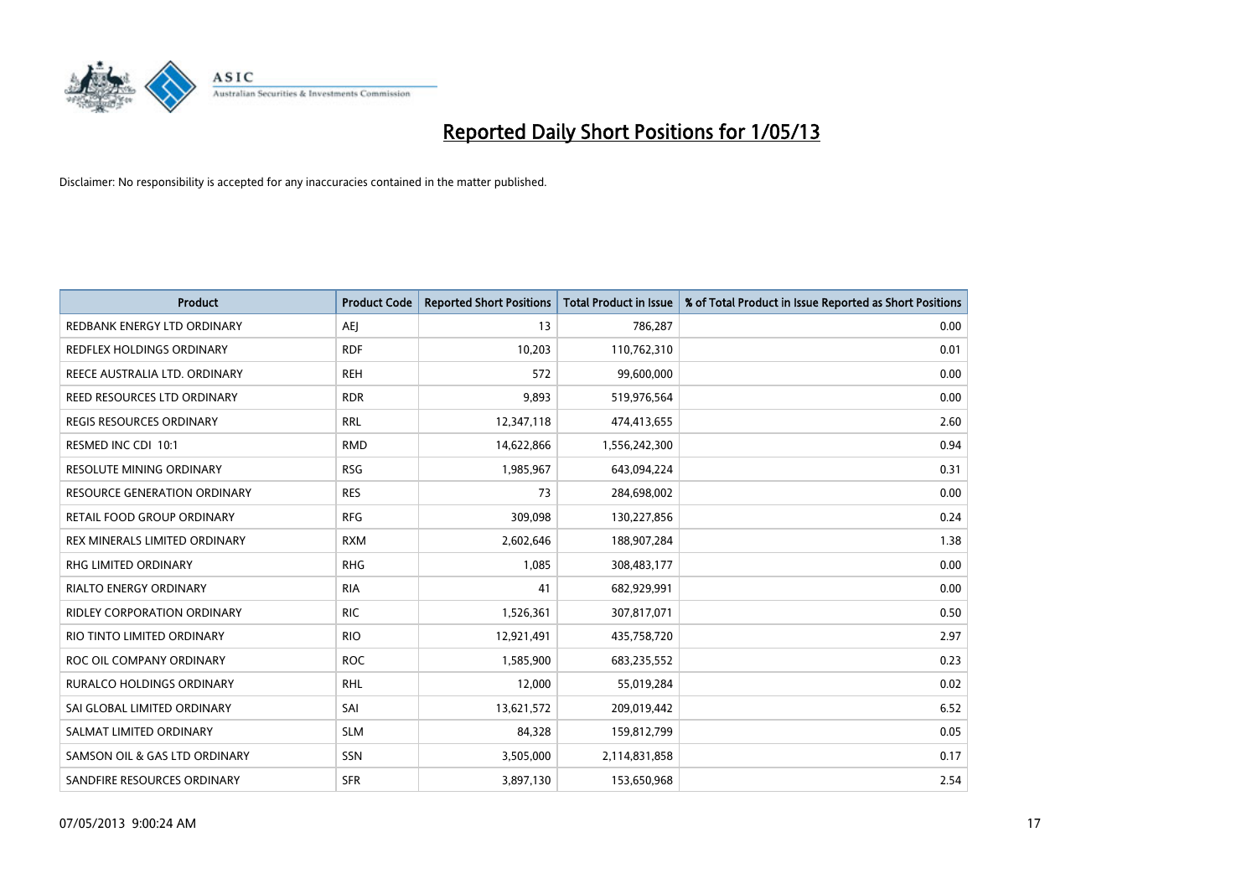

| Product                           | <b>Product Code</b> | <b>Reported Short Positions</b> | <b>Total Product in Issue</b> | % of Total Product in Issue Reported as Short Positions |
|-----------------------------------|---------------------|---------------------------------|-------------------------------|---------------------------------------------------------|
| REDBANK ENERGY LTD ORDINARY       | <b>AEJ</b>          | 13                              | 786,287                       | 0.00                                                    |
| <b>REDFLEX HOLDINGS ORDINARY</b>  | <b>RDF</b>          | 10,203                          | 110,762,310                   | 0.01                                                    |
| REECE AUSTRALIA LTD. ORDINARY     | <b>REH</b>          | 572                             | 99,600,000                    | 0.00                                                    |
| REED RESOURCES LTD ORDINARY       | <b>RDR</b>          | 9,893                           | 519,976,564                   | 0.00                                                    |
| <b>REGIS RESOURCES ORDINARY</b>   | <b>RRL</b>          | 12,347,118                      | 474,413,655                   | 2.60                                                    |
| RESMED INC CDI 10:1               | <b>RMD</b>          | 14,622,866                      | 1,556,242,300                 | 0.94                                                    |
| RESOLUTE MINING ORDINARY          | <b>RSG</b>          | 1,985,967                       | 643,094,224                   | 0.31                                                    |
| RESOURCE GENERATION ORDINARY      | <b>RES</b>          | 73                              | 284,698,002                   | 0.00                                                    |
| <b>RETAIL FOOD GROUP ORDINARY</b> | <b>RFG</b>          | 309,098                         | 130,227,856                   | 0.24                                                    |
| REX MINERALS LIMITED ORDINARY     | <b>RXM</b>          | 2,602,646                       | 188,907,284                   | 1.38                                                    |
| RHG LIMITED ORDINARY              | <b>RHG</b>          | 1,085                           | 308,483,177                   | 0.00                                                    |
| <b>RIALTO ENERGY ORDINARY</b>     | <b>RIA</b>          | 41                              | 682,929,991                   | 0.00                                                    |
| RIDLEY CORPORATION ORDINARY       | <b>RIC</b>          | 1,526,361                       | 307,817,071                   | 0.50                                                    |
| RIO TINTO LIMITED ORDINARY        | <b>RIO</b>          | 12,921,491                      | 435,758,720                   | 2.97                                                    |
| ROC OIL COMPANY ORDINARY          | <b>ROC</b>          | 1,585,900                       | 683,235,552                   | 0.23                                                    |
| <b>RURALCO HOLDINGS ORDINARY</b>  | <b>RHL</b>          | 12,000                          | 55,019,284                    | 0.02                                                    |
| SAI GLOBAL LIMITED ORDINARY       | SAI                 | 13,621,572                      | 209,019,442                   | 6.52                                                    |
| SALMAT LIMITED ORDINARY           | <b>SLM</b>          | 84,328                          | 159,812,799                   | 0.05                                                    |
| SAMSON OIL & GAS LTD ORDINARY     | SSN                 | 3,505,000                       | 2,114,831,858                 | 0.17                                                    |
| SANDFIRE RESOURCES ORDINARY       | <b>SFR</b>          | 3,897,130                       | 153,650,968                   | 2.54                                                    |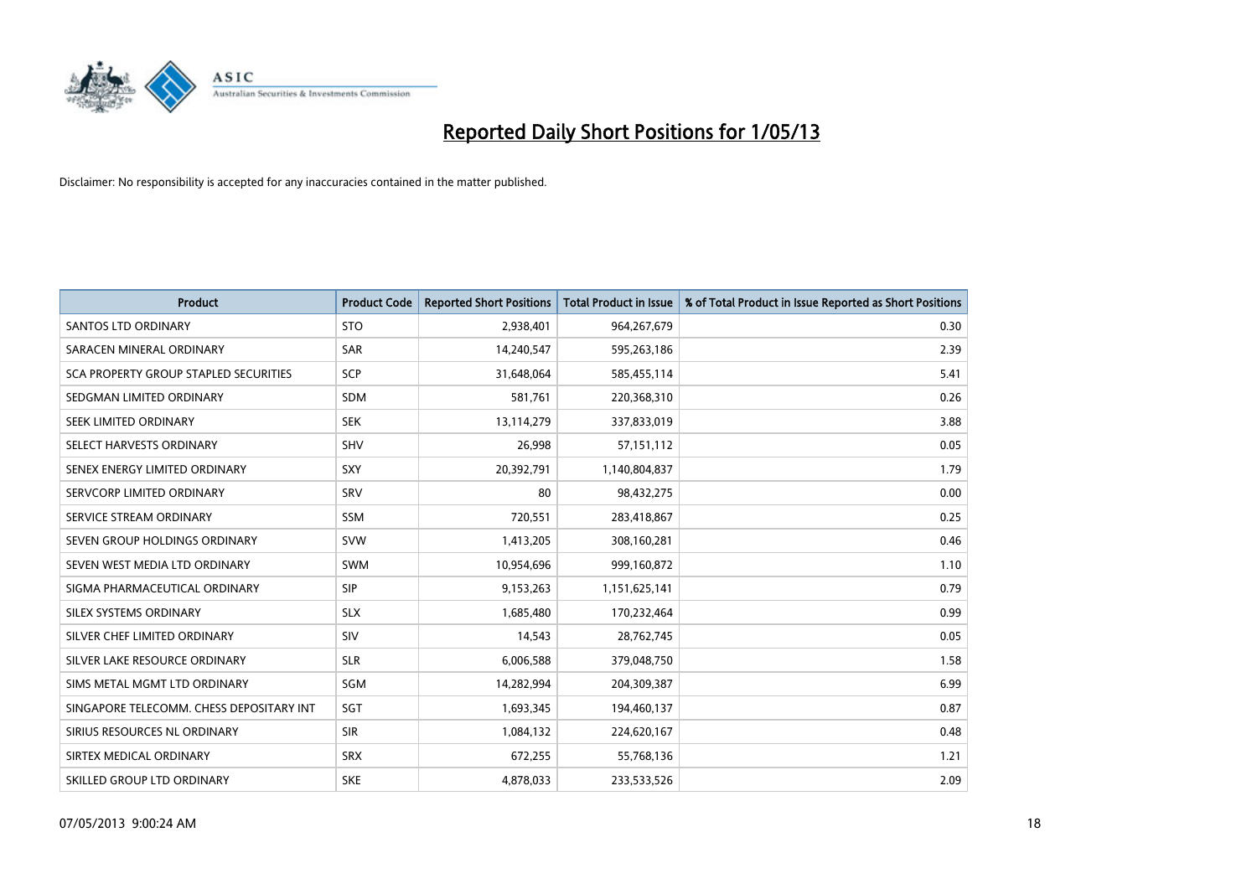

| <b>Product</b>                           | <b>Product Code</b> | <b>Reported Short Positions</b> | <b>Total Product in Issue</b> | % of Total Product in Issue Reported as Short Positions |
|------------------------------------------|---------------------|---------------------------------|-------------------------------|---------------------------------------------------------|
| <b>SANTOS LTD ORDINARY</b>               | <b>STO</b>          | 2,938,401                       | 964,267,679                   | 0.30                                                    |
| SARACEN MINERAL ORDINARY                 | <b>SAR</b>          | 14,240,547                      | 595,263,186                   | 2.39                                                    |
| SCA PROPERTY GROUP STAPLED SECURITIES    | <b>SCP</b>          | 31,648,064                      | 585,455,114                   | 5.41                                                    |
| SEDGMAN LIMITED ORDINARY                 | <b>SDM</b>          | 581,761                         | 220,368,310                   | 0.26                                                    |
| SEEK LIMITED ORDINARY                    | <b>SEK</b>          | 13,114,279                      | 337,833,019                   | 3.88                                                    |
| SELECT HARVESTS ORDINARY                 | SHV                 | 26,998                          | 57,151,112                    | 0.05                                                    |
| SENEX ENERGY LIMITED ORDINARY            | SXY                 | 20,392,791                      | 1,140,804,837                 | 1.79                                                    |
| SERVCORP LIMITED ORDINARY                | SRV                 | 80                              | 98,432,275                    | 0.00                                                    |
| SERVICE STREAM ORDINARY                  | <b>SSM</b>          | 720,551                         | 283,418,867                   | 0.25                                                    |
| SEVEN GROUP HOLDINGS ORDINARY            | <b>SVW</b>          | 1,413,205                       | 308,160,281                   | 0.46                                                    |
| SEVEN WEST MEDIA LTD ORDINARY            | <b>SWM</b>          | 10,954,696                      | 999,160,872                   | 1.10                                                    |
| SIGMA PHARMACEUTICAL ORDINARY            | <b>SIP</b>          | 9,153,263                       | 1,151,625,141                 | 0.79                                                    |
| SILEX SYSTEMS ORDINARY                   | <b>SLX</b>          | 1,685,480                       | 170,232,464                   | 0.99                                                    |
| SILVER CHEF LIMITED ORDINARY             | SIV                 | 14,543                          | 28,762,745                    | 0.05                                                    |
| SILVER LAKE RESOURCE ORDINARY            | <b>SLR</b>          | 6,006,588                       | 379,048,750                   | 1.58                                                    |
| SIMS METAL MGMT LTD ORDINARY             | SGM                 | 14,282,994                      | 204,309,387                   | 6.99                                                    |
| SINGAPORE TELECOMM. CHESS DEPOSITARY INT | SGT                 | 1,693,345                       | 194,460,137                   | 0.87                                                    |
| SIRIUS RESOURCES NL ORDINARY             | <b>SIR</b>          | 1,084,132                       | 224,620,167                   | 0.48                                                    |
| SIRTEX MEDICAL ORDINARY                  | <b>SRX</b>          | 672,255                         | 55,768,136                    | 1.21                                                    |
| SKILLED GROUP LTD ORDINARY               | <b>SKE</b>          | 4,878,033                       | 233,533,526                   | 2.09                                                    |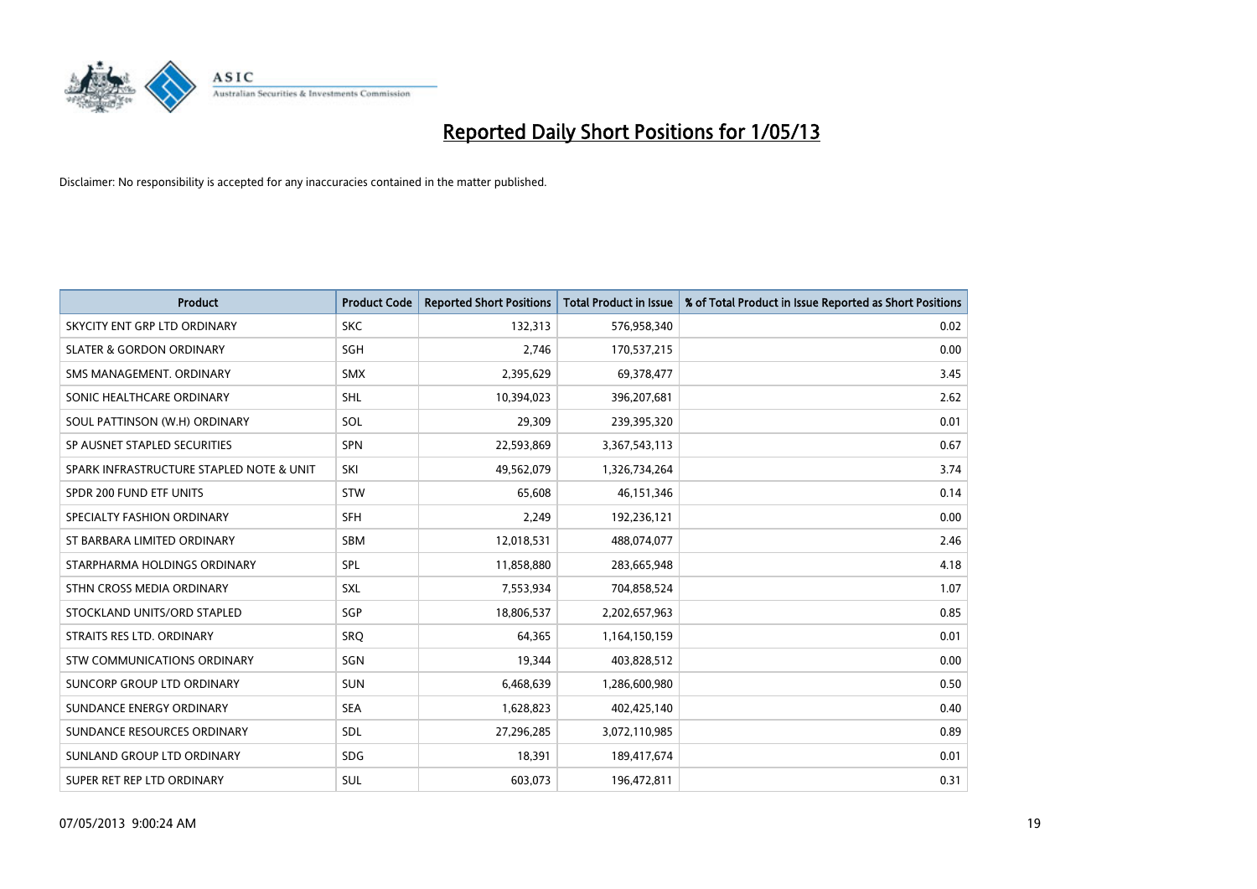

| <b>Product</b>                           | <b>Product Code</b> | <b>Reported Short Positions</b> | <b>Total Product in Issue</b> | % of Total Product in Issue Reported as Short Positions |
|------------------------------------------|---------------------|---------------------------------|-------------------------------|---------------------------------------------------------|
| SKYCITY ENT GRP LTD ORDINARY             | <b>SKC</b>          | 132,313                         | 576,958,340                   | 0.02                                                    |
| <b>SLATER &amp; GORDON ORDINARY</b>      | SGH                 | 2.746                           | 170,537,215                   | 0.00                                                    |
| SMS MANAGEMENT, ORDINARY                 | <b>SMX</b>          | 2,395,629                       | 69,378,477                    | 3.45                                                    |
| SONIC HEALTHCARE ORDINARY                | <b>SHL</b>          | 10,394,023                      | 396,207,681                   | 2.62                                                    |
| SOUL PATTINSON (W.H) ORDINARY            | SOL                 | 29,309                          | 239,395,320                   | 0.01                                                    |
| SP AUSNET STAPLED SECURITIES             | <b>SPN</b>          | 22,593,869                      | 3,367,543,113                 | 0.67                                                    |
| SPARK INFRASTRUCTURE STAPLED NOTE & UNIT | SKI                 | 49,562,079                      | 1,326,734,264                 | 3.74                                                    |
| SPDR 200 FUND ETF UNITS                  | STW                 | 65,608                          | 46,151,346                    | 0.14                                                    |
| SPECIALTY FASHION ORDINARY               | SFH                 | 2,249                           | 192,236,121                   | 0.00                                                    |
| ST BARBARA LIMITED ORDINARY              | <b>SBM</b>          | 12,018,531                      | 488,074,077                   | 2.46                                                    |
| STARPHARMA HOLDINGS ORDINARY             | SPL                 | 11,858,880                      | 283,665,948                   | 4.18                                                    |
| STHN CROSS MEDIA ORDINARY                | <b>SXL</b>          | 7,553,934                       | 704,858,524                   | 1.07                                                    |
| STOCKLAND UNITS/ORD STAPLED              | SGP                 | 18,806,537                      | 2,202,657,963                 | 0.85                                                    |
| STRAITS RES LTD. ORDINARY                | SRQ                 | 64,365                          | 1,164,150,159                 | 0.01                                                    |
| STW COMMUNICATIONS ORDINARY              | SGN                 | 19,344                          | 403,828,512                   | 0.00                                                    |
| SUNCORP GROUP LTD ORDINARY               | <b>SUN</b>          | 6,468,639                       | 1,286,600,980                 | 0.50                                                    |
| SUNDANCE ENERGY ORDINARY                 | <b>SEA</b>          | 1,628,823                       | 402,425,140                   | 0.40                                                    |
| SUNDANCE RESOURCES ORDINARY              | <b>SDL</b>          | 27,296,285                      | 3,072,110,985                 | 0.89                                                    |
| SUNLAND GROUP LTD ORDINARY               | <b>SDG</b>          | 18,391                          | 189,417,674                   | 0.01                                                    |
| SUPER RET REP LTD ORDINARY               | SUL                 | 603,073                         | 196,472,811                   | 0.31                                                    |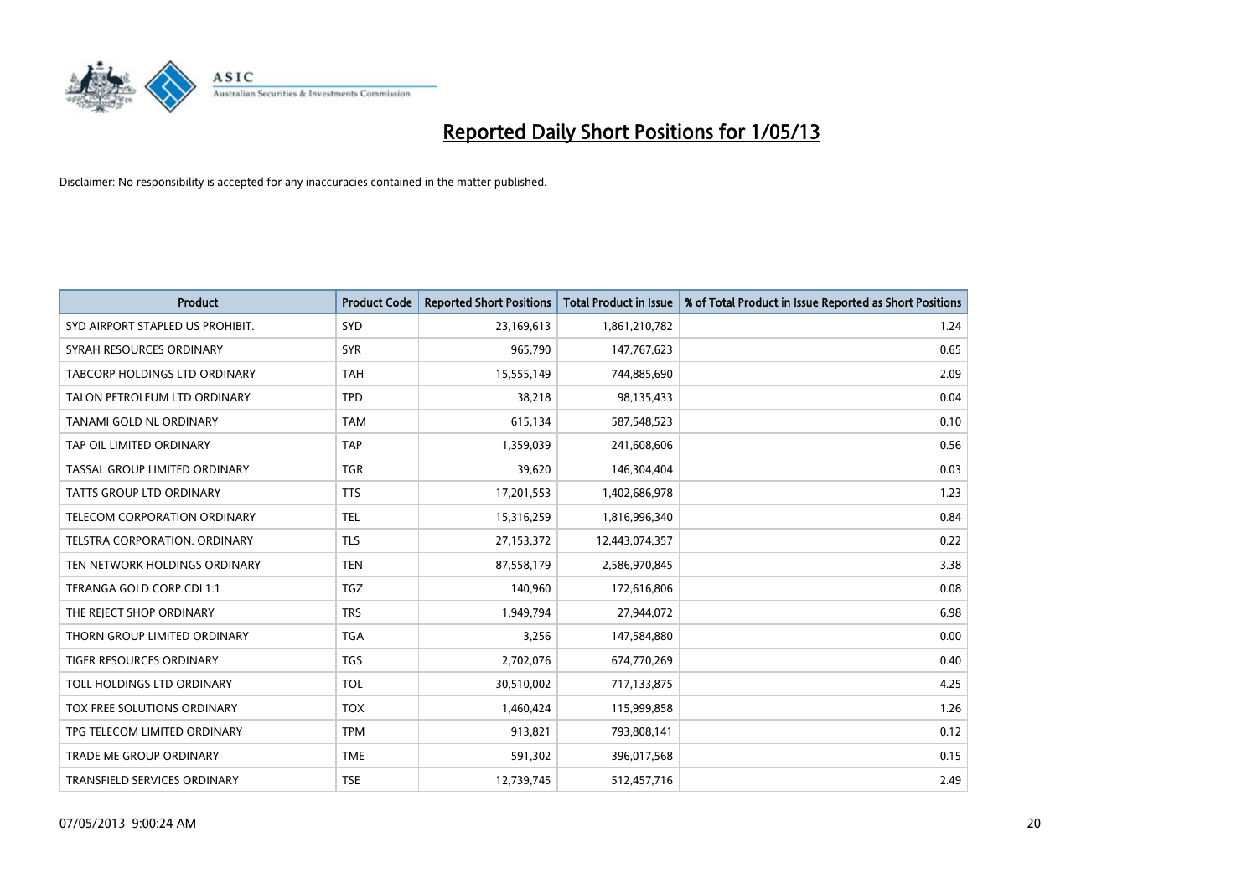

| <b>Product</b>                   | <b>Product Code</b> | <b>Reported Short Positions</b> | <b>Total Product in Issue</b> | % of Total Product in Issue Reported as Short Positions |
|----------------------------------|---------------------|---------------------------------|-------------------------------|---------------------------------------------------------|
| SYD AIRPORT STAPLED US PROHIBIT. | SYD                 | 23,169,613                      | 1,861,210,782                 | 1.24                                                    |
| SYRAH RESOURCES ORDINARY         | <b>SYR</b>          | 965,790                         | 147,767,623                   | 0.65                                                    |
| TABCORP HOLDINGS LTD ORDINARY    | <b>TAH</b>          | 15,555,149                      | 744,885,690                   | 2.09                                                    |
| TALON PETROLEUM LTD ORDINARY     | <b>TPD</b>          | 38,218                          | 98,135,433                    | 0.04                                                    |
| TANAMI GOLD NL ORDINARY          | <b>TAM</b>          | 615,134                         | 587,548,523                   | 0.10                                                    |
| TAP OIL LIMITED ORDINARY         | <b>TAP</b>          | 1,359,039                       | 241,608,606                   | 0.56                                                    |
| TASSAL GROUP LIMITED ORDINARY    | <b>TGR</b>          | 39,620                          | 146,304,404                   | 0.03                                                    |
| TATTS GROUP LTD ORDINARY         | <b>TTS</b>          | 17,201,553                      | 1,402,686,978                 | 1.23                                                    |
| TELECOM CORPORATION ORDINARY     | <b>TEL</b>          | 15,316,259                      | 1,816,996,340                 | 0.84                                                    |
| TELSTRA CORPORATION, ORDINARY    | <b>TLS</b>          | 27,153,372                      | 12,443,074,357                | 0.22                                                    |
| TEN NETWORK HOLDINGS ORDINARY    | <b>TEN</b>          | 87,558,179                      | 2,586,970,845                 | 3.38                                                    |
| TERANGA GOLD CORP CDI 1:1        | <b>TGZ</b>          | 140,960                         | 172,616,806                   | 0.08                                                    |
| THE REJECT SHOP ORDINARY         | <b>TRS</b>          | 1,949,794                       | 27,944,072                    | 6.98                                                    |
| THORN GROUP LIMITED ORDINARY     | <b>TGA</b>          | 3,256                           | 147,584,880                   | 0.00                                                    |
| TIGER RESOURCES ORDINARY         | <b>TGS</b>          | 2,702,076                       | 674,770,269                   | 0.40                                                    |
| TOLL HOLDINGS LTD ORDINARY       | <b>TOL</b>          | 30,510,002                      | 717,133,875                   | 4.25                                                    |
| TOX FREE SOLUTIONS ORDINARY      | <b>TOX</b>          | 1,460,424                       | 115,999,858                   | 1.26                                                    |
| TPG TELECOM LIMITED ORDINARY     | <b>TPM</b>          | 913,821                         | 793,808,141                   | 0.12                                                    |
| <b>TRADE ME GROUP ORDINARY</b>   | <b>TME</b>          | 591,302                         | 396,017,568                   | 0.15                                                    |
| TRANSFIELD SERVICES ORDINARY     | <b>TSE</b>          | 12,739,745                      | 512,457,716                   | 2.49                                                    |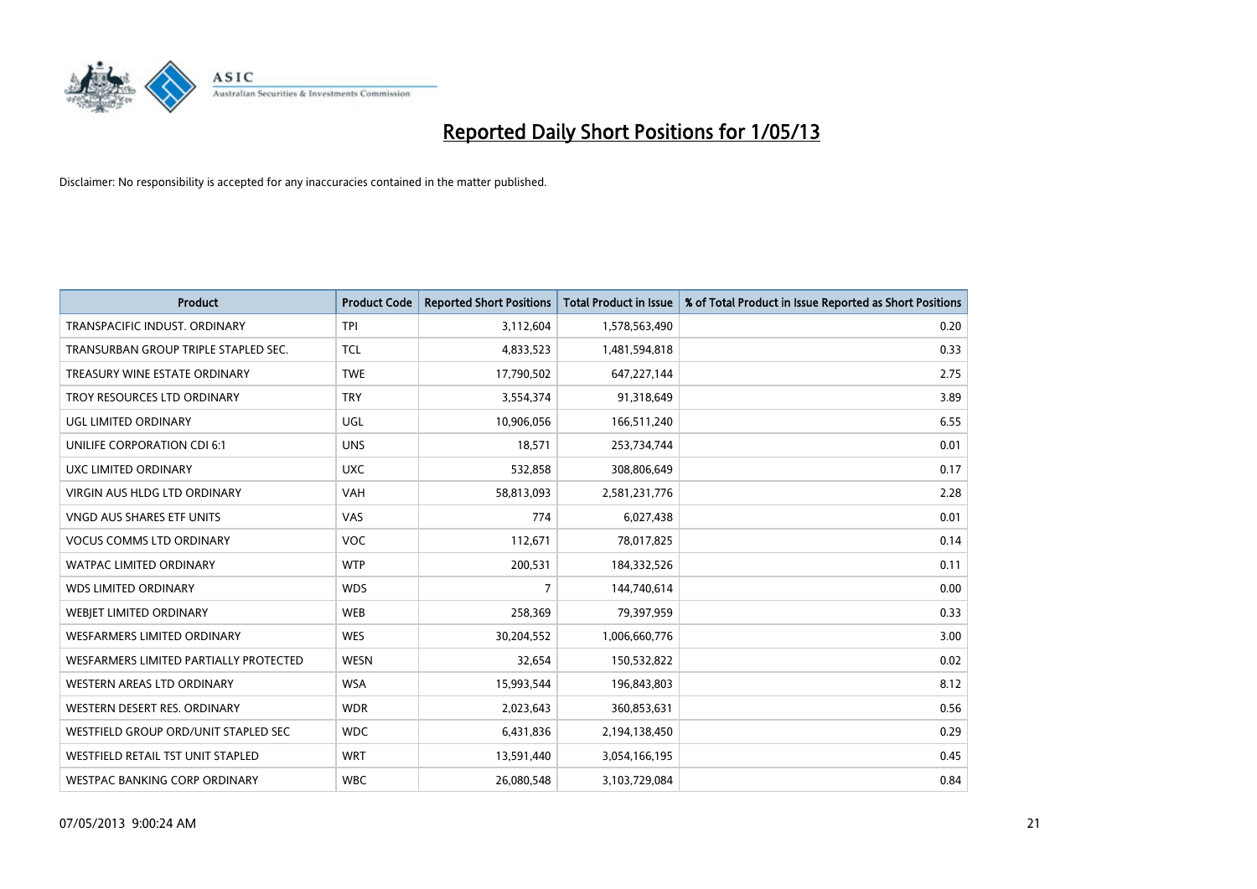

| <b>Product</b>                         | <b>Product Code</b> | <b>Reported Short Positions</b> | <b>Total Product in Issue</b> | % of Total Product in Issue Reported as Short Positions |
|----------------------------------------|---------------------|---------------------------------|-------------------------------|---------------------------------------------------------|
| TRANSPACIFIC INDUST, ORDINARY          | <b>TPI</b>          | 3,112,604                       | 1,578,563,490                 | 0.20                                                    |
| TRANSURBAN GROUP TRIPLE STAPLED SEC.   | <b>TCL</b>          | 4,833,523                       | 1,481,594,818                 | 0.33                                                    |
| TREASURY WINE ESTATE ORDINARY          | <b>TWE</b>          | 17,790,502                      | 647,227,144                   | 2.75                                                    |
| TROY RESOURCES LTD ORDINARY            | <b>TRY</b>          | 3,554,374                       | 91,318,649                    | 3.89                                                    |
| UGL LIMITED ORDINARY                   | UGL                 | 10,906,056                      | 166,511,240                   | 6.55                                                    |
| UNILIFE CORPORATION CDI 6:1            | <b>UNS</b>          | 18,571                          | 253,734,744                   | 0.01                                                    |
| UXC LIMITED ORDINARY                   | <b>UXC</b>          | 532,858                         | 308,806,649                   | 0.17                                                    |
| VIRGIN AUS HLDG LTD ORDINARY           | <b>VAH</b>          | 58,813,093                      | 2,581,231,776                 | 2.28                                                    |
| <b>VNGD AUS SHARES ETF UNITS</b>       | <b>VAS</b>          | 774                             | 6,027,438                     | 0.01                                                    |
| <b>VOCUS COMMS LTD ORDINARY</b>        | <b>VOC</b>          | 112,671                         | 78,017,825                    | 0.14                                                    |
| WATPAC LIMITED ORDINARY                | <b>WTP</b>          | 200,531                         | 184,332,526                   | 0.11                                                    |
| <b>WDS LIMITED ORDINARY</b>            | <b>WDS</b>          | $\overline{7}$                  | 144,740,614                   | 0.00                                                    |
| WEBIET LIMITED ORDINARY                | <b>WEB</b>          | 258,369                         | 79,397,959                    | 0.33                                                    |
| <b>WESFARMERS LIMITED ORDINARY</b>     | <b>WES</b>          | 30,204,552                      | 1,006,660,776                 | 3.00                                                    |
| WESFARMERS LIMITED PARTIALLY PROTECTED | <b>WESN</b>         | 32,654                          | 150,532,822                   | 0.02                                                    |
| WESTERN AREAS LTD ORDINARY             | <b>WSA</b>          | 15,993,544                      | 196,843,803                   | 8.12                                                    |
| WESTERN DESERT RES. ORDINARY           | <b>WDR</b>          | 2,023,643                       | 360,853,631                   | 0.56                                                    |
| WESTFIELD GROUP ORD/UNIT STAPLED SEC   | <b>WDC</b>          | 6,431,836                       | 2,194,138,450                 | 0.29                                                    |
| WESTFIELD RETAIL TST UNIT STAPLED      | <b>WRT</b>          | 13,591,440                      | 3,054,166,195                 | 0.45                                                    |
| WESTPAC BANKING CORP ORDINARY          | <b>WBC</b>          | 26,080,548                      | 3,103,729,084                 | 0.84                                                    |